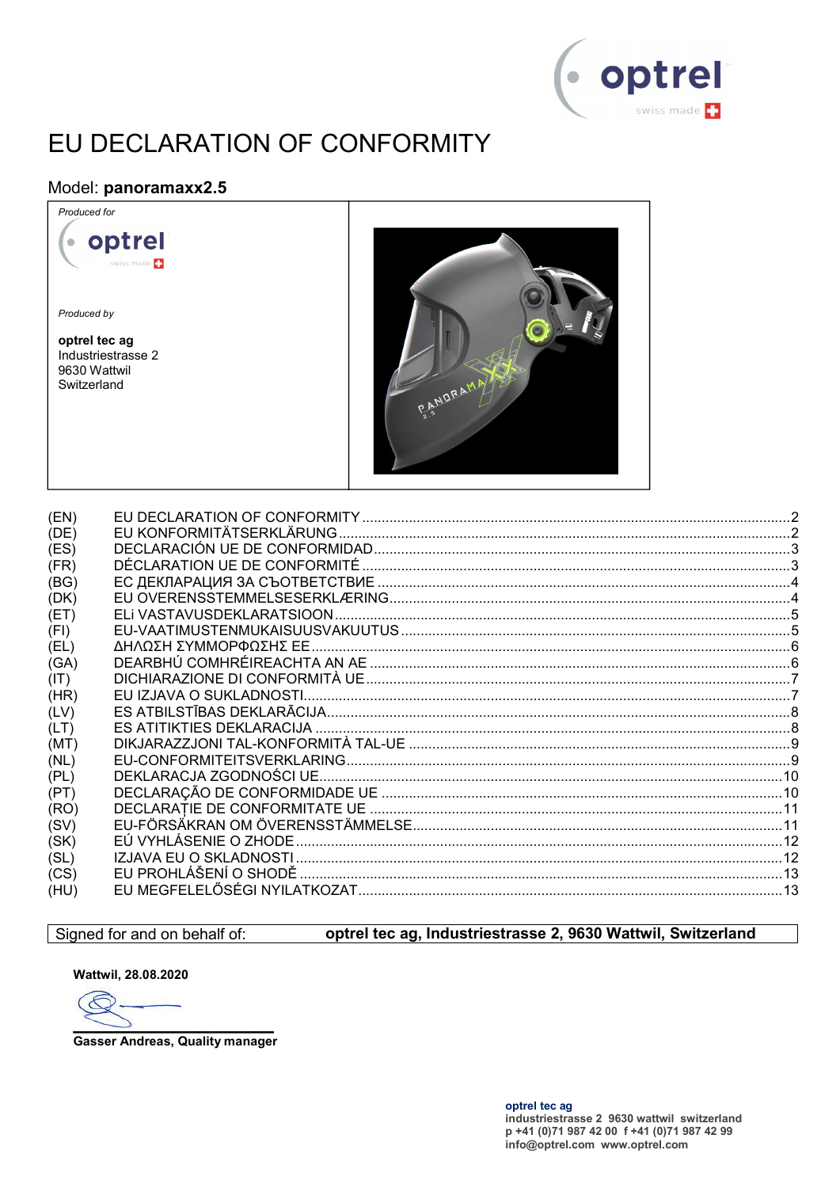

# EU DECLARATION OF CONFORMITY

### Model: panoramaxx2.5



| (EN) |  |
|------|--|
| (DE) |  |
| (ES) |  |
| (FR) |  |
| (BG) |  |
| (DK) |  |
| (ET) |  |
| (FI) |  |
| (EL) |  |
| (GA) |  |
| (IT) |  |
| (HR) |  |
| (LV) |  |
| (LT) |  |
| (MT) |  |
| (NL) |  |
| (PL) |  |
| (PT) |  |
| (RO) |  |
| (SV) |  |
| (SK) |  |
| (SL) |  |
| (CS) |  |
| (HU) |  |
|      |  |

### Signed for and on behalf of:

### optrel tec ag, Industriestrasse 2, 9630 Wattwil, Switzerland

Wattwil, 28.08.2020

 $\epsilon$ 

**Gasser Andreas, Quality manager**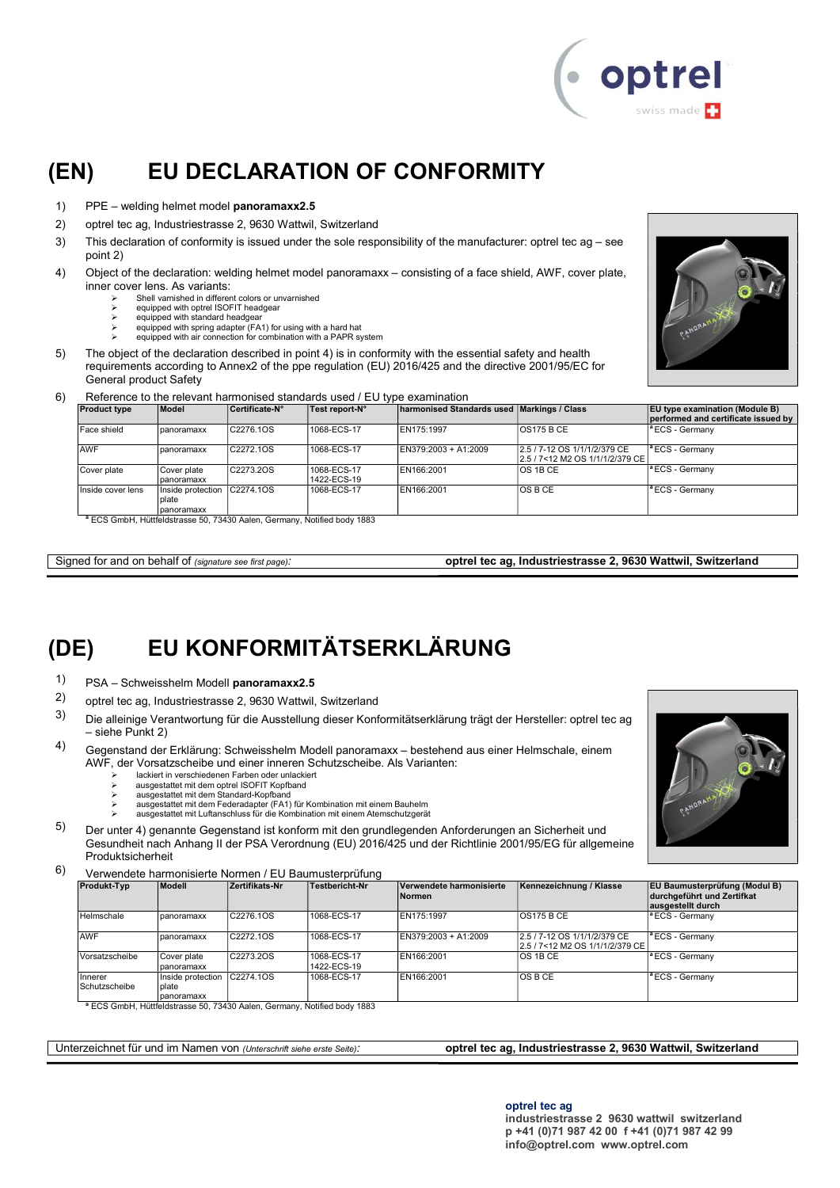

### (EN) EU DECLARATION OF CONFORMITY

- 1) PPE welding helmet model panoramaxx2.5
- 2) optrel tec ag, Industriestrasse 2, 9630 Wattwil, Switzerland
- 3) This declaration of conformity is issued under the sole responsibility of the manufacturer: optrel tec ag see point 2)
- 4) Object of the declaration: welding helmet model panoramaxx consisting of a face shield, AWF, cover plate, inner cover lens. As variants:
	- Shell varnished in different colors or unvarnished
	- $\triangleright$  equipped with optrel ISOFIT headgear<br>  $\triangleright$  equipped with standard headgear
	- equipped with spring adapter (FA1) for using with a hard hat
	- equipped with air connection for combination with a PAPR system
- 5) The object of the declaration described in point 4) is in conformity with the essential safety and health requirements according to Annex2 of the ppe regulation (EU) 2016/425 and the directive 2001/95/EC for General product Safety
- 6) Reference to the relevant harmonised standards used / EU type examination

| <b>Product type</b> | Model                                    | Certificate-N° | Test report-N°             | harmonised Standards used Markings / Class |                                                                 | <b>EU</b> type examination (Module B)<br>performed and certificate issued by |
|---------------------|------------------------------------------|----------------|----------------------------|--------------------------------------------|-----------------------------------------------------------------|------------------------------------------------------------------------------|
| Face shield         | panoramaxx                               | C2276.1OS      | 1068-ECS-17                | EN175:1997                                 | <b>OS175 B CE</b>                                               | <sup>a</sup> ECS - Germany                                                   |
| <b>AWF</b>          | panoramaxx                               | C2272.10S      | 1068-ECS-17                | EN379:2003 + A1:2009                       | 2.5 / 7-12 OS 1/1/1/2/379 CE<br>2.5 / 7<12 M2 OS 1/1/1/2/379 CE | <sup>a</sup> ECS - Germanv                                                   |
| Cover plate         | Cover plate<br>panoramaxx                | C2273.2OS      | 1068-ECS-17<br>1422-ECS-19 | EN166:2001                                 | <b>OS 1B CE</b>                                                 | <sup>a</sup> ECS - Germany                                                   |
| Inside cover lens   | Inside protection<br>plate<br>panoramaxx | C2274.1OS      | 1068-ECS-17                | EN166:2001                                 | IOS B CE                                                        | <sup>a</sup> ECS - Germany                                                   |

<sup>a</sup> ECS GmbH, Hüttfeldstrasse 50, 73430 Aalen, Germany, Notified body 1883

Signed for and on behalf of (signature see first page): **optrel tec ag, Industriestrasse 2, 9630 Wattwil, Switzerland** 

# (DE) EU KONFORMITÄTSERKLÄRUNG

- 1) PSA Schweisshelm Modell panoramaxx2.5
- 2) optrel tec ag, Industriestrasse 2, 9630 Wattwil, Switzerland
- 3) Die alleinige Verantwortung für die Ausstellung dieser Konformitätserklärung trägt der Hersteller: optrel tec ag – siehe Punkt 2)
- 4) Gegenstand der Erklärung: Schweisshelm Modell panoramaxx bestehend aus einer Helmschale, einem AWF, der Vorsatzscheibe und einer inneren Schutzscheibe. Als Varianten:
	- lackiert in verschiedenen Farben oder unlackiert ausgestattet mit dem optrel ISOFIT Kopfband
	-
	- ausgestattet mit dem Standard-Kopfband ausgestattet mit dem Federadapter (FA1) für Kombination mit einem Bauhelm
	- ausgestattet mit Luftanschluss für die Kombination mit einem Atemschutzgerät
- 5) Der unter 4) genannte Gegenstand ist konform mit den grundlegenden Anforderungen an Sicherheit und Gesundheit nach Anhang II der PSA Verordnung (EU) 2016/425 und der Richtlinie 2001/95/EG für allgemeine Produktsicherheit
- 6) Verwendete harmonisierte Normen / EU Baumusterprüfung

| <b>Produkt-Typ</b>       | Modell                                              | Zertifikats-Nr | Testbericht-Nr             | Verwendete harmonisierte<br><b>Normen</b> | Kennezeichnung / Klasse                                            | <b>EU Baumusterprüfung (Modul B)</b><br>durchgeführt und Zertifkat<br>ausgestellt durch |
|--------------------------|-----------------------------------------------------|----------------|----------------------------|-------------------------------------------|--------------------------------------------------------------------|-----------------------------------------------------------------------------------------|
| Helmschale               | panoramaxx                                          | C2276.1OS      | 1068-ECS-17                | EN175:1997                                | IOS175 B CE                                                        | <sup>a</sup> ECS - Germany                                                              |
| <b>AWF</b>               | panoramaxx                                          | C2272.1OS      | 1068-ECS-17                | EN379:2003 + A1:2009                      | 2.5 / 7-12 OS 1/1/1/2/379 CE<br>l2.5 / 7<12 M2 OS 1/1/1/2/379 CE l | <sup>a</sup> ECS - Germany                                                              |
| Vorsatzscheibe           | Cover plate<br>panoramaxx                           | C2273.2OS      | 1068-ECS-17<br>1422-ECS-19 | EN166:2001                                | IOS 1B CE                                                          | <sup>a</sup> ECS - Germany                                                              |
| Innerer<br>Schutzscheibe | Inside protection C2274.1OS<br>plate<br>Ipanoramaxx |                | 1068-ECS-17                | EN166:2001                                | IOS B CE                                                           | <sup>a</sup> ECS - Germany                                                              |

<sup>a</sup> ECS GmbH, Hüttfeldstrasse 50, 73430 Aalen, Germany, Notified body 1883

Unterzeichnet für und im Namen von (Unterschrift siehe erste Seite): **optrel tec ag, Industriestrasse 2, 9630 Wattwil, Switzerland** 

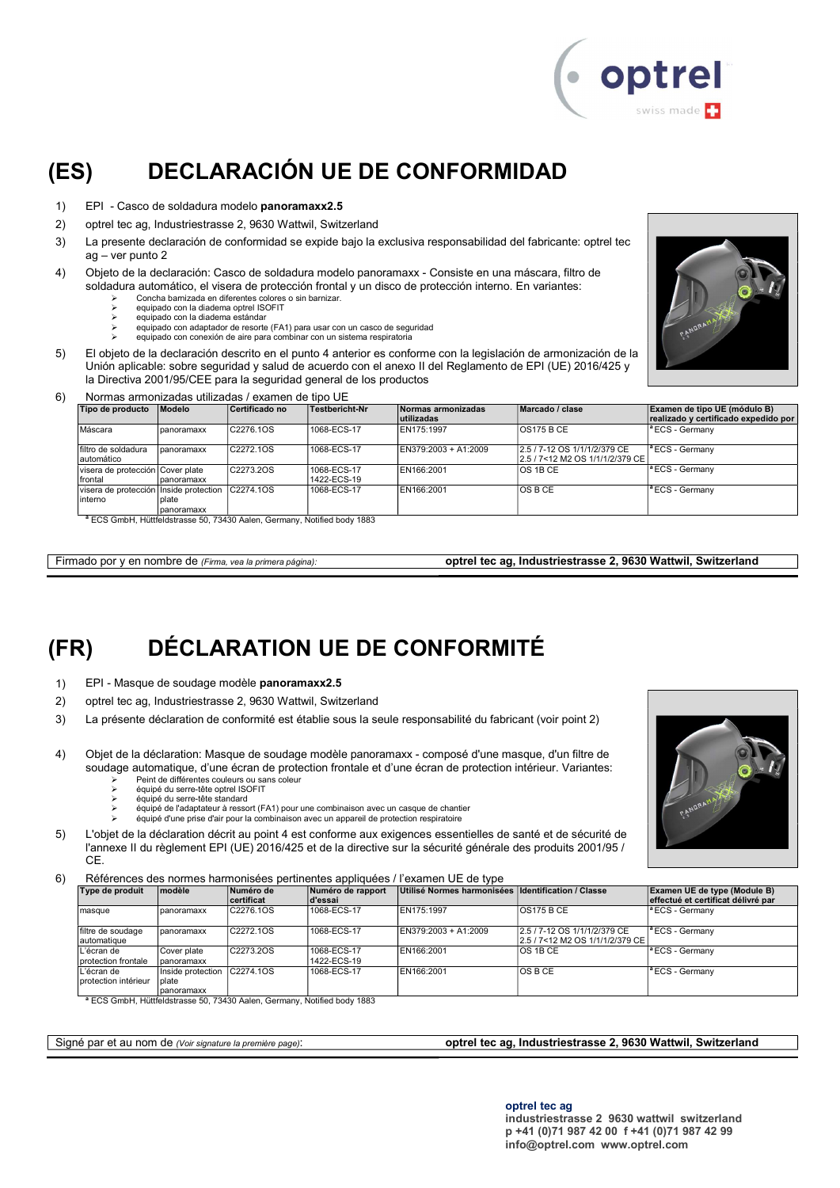

# (ES) DECLARACIÓN UE DE CONFORMIDAD

- 1) EPI Casco de soldadura modelo panoramaxx2.5
- 2) optrel tec ag, Industriestrasse 2, 9630 Wattwil, Switzerland
- 3) La presente declaración de conformidad se expide bajo la exclusiva responsabilidad del fabricante: optrel tec ag – ver punto 2
- 4) Objeto de la declaración: Casco de soldadura modelo panoramaxx Consiste en una máscara, filtro de soldadura automático, el visera de protección frontal y un disco de protección interno. En variantes:
	- Concha barnizada en diferentes colores o sin barnizar. equipado con la diadema optrel ISOFIT
	- equipado con la diadema estándar
	- equipado con adaptador de resorte (FA1) para usar con un casco de seguridad
	- equipado con conexión de aire para combinar con un sistema respiratoria
- 5) El objeto de la declaración descrito en el punto 4 anterior es conforme con la legislación de armonización de la Unión aplicable: sobre seguridad y salud de acuerdo con el anexo II del Reglamento de EPI (UE) 2016/425 y la Directiva 2001/95/CEE para la seguridad general de los productos



#### 6) Normas armonizadas utilizadas / examen de tipo UE

| Tipo de producto                                   | Modelo              | Certificado no | Testbericht-Nr             | Normas armonizadas<br>lutilizadas | Marcado / clase                                                    | Examen de tipo UE (módulo B)<br>realizado y certificado expedido por |
|----------------------------------------------------|---------------------|----------------|----------------------------|-----------------------------------|--------------------------------------------------------------------|----------------------------------------------------------------------|
| Máscara                                            | panoramaxx          | C2276.1OS      | 1068-ECS-17                | EN175:1997                        | <b>OS175 B CE</b>                                                  | <sup>a</sup> ECS - Germanv                                           |
| filtro de soldadura<br>lautomático                 | panoramaxx          | C2272.1OS      | 1068-ECS-17                | EN379:2003 + A1:2009              | 2.5 / 7-12 OS 1/1/1/2/379 CE<br>l2.5 / 7<12 M2 OS 1/1/1/2/379 CE l | <sup>a</sup> ECS - Germanv                                           |
| visera de protección Cover plate<br>Ifrontal       | Ipanoramaxx         | C2273.2OS      | 1068-ECS-17<br>1422-ECS-19 | EN166:2001                        | <b>OS 1B CE</b>                                                    | <sup>a</sup> ECS - Germany                                           |
| visera de protección Inside protection<br>linterno | plate<br>panoramaxx | C2274.10S      | 1068-ECS-17                | EN166:2001                        | IOS B CE                                                           | <sup>a</sup> ECS - Germanv                                           |

<sup>a</sup> ECS GmbH, Hüttfeldstrasse 50, 73430 Aalen, Germany, Notified body 1883

Firmado por y en nombre de (Firma, vea la primera página): optrel tec ag, Industriestrasse 2, 9630 Wattwil, Switzerland

# (FR) DÉCLARATION UE DE CONFORMITÉ

- 1) EPI Masque de soudage modèle panoramaxx2.5
- 2) optrel tec ag, Industriestrasse 2, 9630 Wattwil, Switzerland
- 3) La présente déclaration de conformité est établie sous la seule responsabilité du fabricant (voir point 2)
- 4) Objet de la déclaration: Masque de soudage modèle panoramaxx composé d'une masque, d'un filtre de soudage automatique, d'une écran de protection frontale et d'une écran de protection intérieur. Variantes:
	- Peint de différentes couleurs ou sans coleur équipé du serre-tête optrel ISOFIT
	- équipé du serre-tête standard
	- équipé de l'adaptateur à ressort (FA1) pour une combinaison avec un casque de chantier
	- équipé d'une prise d'air pour la combinaison avec un appareil de protection respiratoire
- 5) L'objet de la déclaration décrit au point 4 est conforme aux exigences essentielles de santé et de sécurité de l'annexe II du règlement EPI (UE) 2016/425 et de la directive sur la sécurité générale des produits 2001/95 / CE.

6) Références des normes harmonisées pertinentes appliquées / l'examen UE de type

| Type de produit                     | modèle                                   | Numéro de<br>certificat | Numéro de rapport<br>d'essai | Utilisé Normes harmonisées Identification / Classe |                                                                    | Examen UE de type (Module B)<br>effectué et certificat délivré par |
|-------------------------------------|------------------------------------------|-------------------------|------------------------------|----------------------------------------------------|--------------------------------------------------------------------|--------------------------------------------------------------------|
| masque                              | panoramaxx                               | C2276.1OS               | 1068-ECS-17                  | EN175:1997                                         | <b>OS175 B CE</b>                                                  | $ $ <sup>a</sup> ECS - Germany                                     |
| filtre de soudage<br>lautomatique   | panoramaxx                               | IC2272.10S              | 1068-ECS-17                  | EN379:2003 + A1:2009                               | 2.5 / 7-12 OS 1/1/1/2/379 CE<br>l2.5 / 7<12 M2 OS 1/1/1/2/379 CE l | <sup>1ª</sup> ECS - Germany                                        |
| L'écran de<br>protection frontale   | Cover plate<br>Ipanoramaxx               | C2273.2OS               | 1068-ECS-17<br>1422-ECS-19   | EN166:2001                                         | IOS 1B CE                                                          | <sup>a</sup> ECS - Germany                                         |
| L'écran de<br>Iprotection intérieur | Inside protection<br>plate<br>panoramaxx | C2274.10S               | 1068-ECS-17                  | EN166:2001                                         | IOS B CE                                                           | $\vert$ <sup>a</sup> ECS - Germany                                 |

<sup>a</sup> ECS GmbH, Hüttfeldstrasse 50, 73430 Aalen, Germany, Notified body 1883

#### Signé par et au nom de (Voir signature la première page): optrel tec ag, Industriestrasse 2, 9630 Wattwil, Switzerland

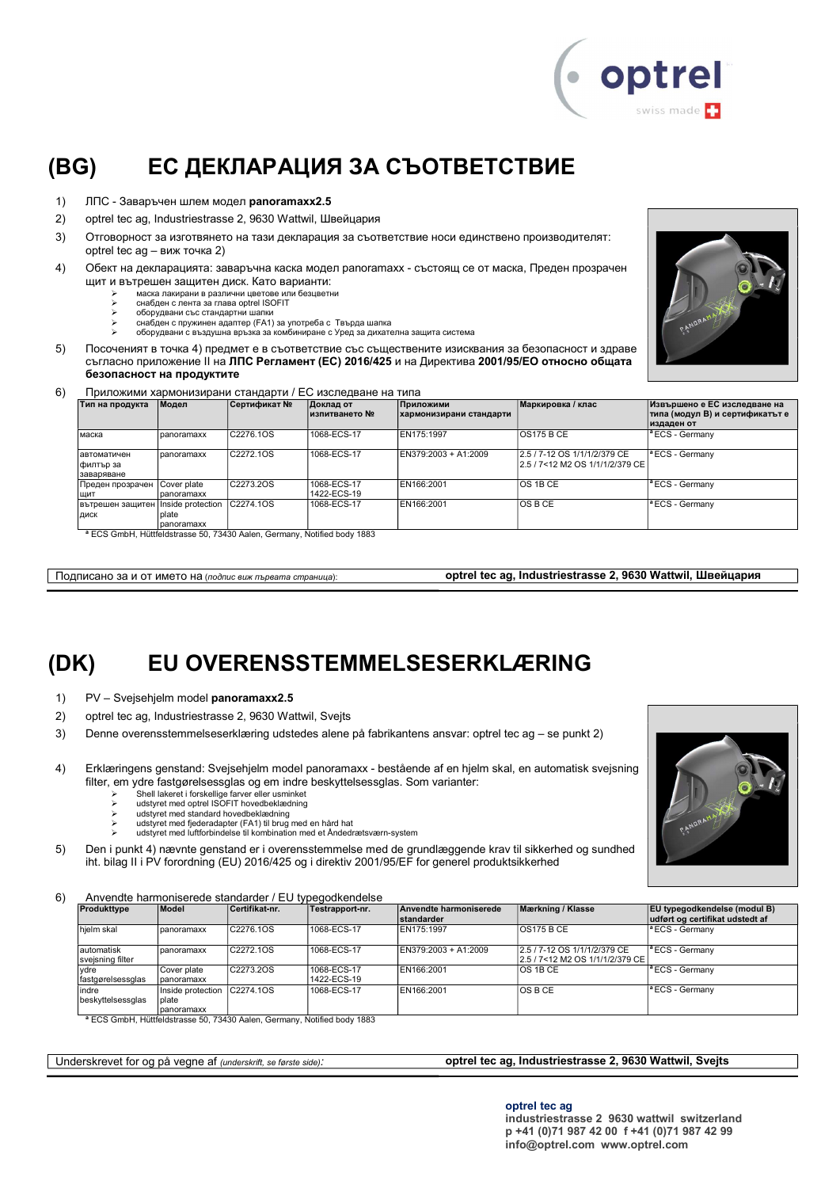

# (BG) ЕС ДЕКЛАРАЦИЯ ЗА СЪОТВЕТСТВИЕ

- 1) ЛПС Заваръчен шлем модел panoramaxx2.5
- 2) optrel tec ag, Industriestrasse 2, 9630 Wattwil, Швейцария
- 3) Отговорност за изготвянето на тази декларация за съответствие носи единствено производителят: optrel tec ag – виж точка 2)
- 4) Обект на декларацията: заваръчна каска модел panoramaxx състоящ се от маска, Преден прозрачен щит и вътрешен защитен диск. Като варианти:
	- маска лакирани в различни цветове или безцветни снабден с лента за глава optrel ISOFIT
		- оборудвани със стандартни шапки
		-
		- снабден с пружинен адаптер (FA1) за употреба с Твърда шапка оборудвани с въздушна връзка за комбиниране с Уред за дихателна защита система
- 5) Посоченият в точка 4) предмет е в съответствие със съществените изисквания за безопасност и здраве съгласно приложение ІІ на ЛПС Регламент (ЕС) 2016/425 и на Директива 2001/95/ЕО относно общата безопасност на продуктите
- 6) Приложими хармонизирани стандарти / ЕС изследване на типа

| Тип на продукта    | Модел             | Сертификат № | Доклад от<br>∣изпитването № | Приложими<br>хармонизирани стандарти | Маркировка / клас                  | Извършено е ЕС изследване на<br>типа (модул В) и сертификатът е |
|--------------------|-------------------|--------------|-----------------------------|--------------------------------------|------------------------------------|-----------------------------------------------------------------|
|                    |                   |              |                             |                                      |                                    | издаден от                                                      |
| маска              | panoramaxx        | C2276.1OS    | 1068-ECS-17                 | EN175:1997                           | IOS175 B CE                        | <sup>a</sup> ECS - Germany                                      |
| <b>автоматичен</b> | panoramaxx        | C2272.1OS    | 1068-ECS-17                 | EN379:2003 + A1:2009                 | 2.5 / 7-12 OS 1/1/1/2/379 CE       | $ $ <sup>a</sup> ECS - Germany                                  |
| филтър за          |                   |              |                             |                                      | l2.5 / 7<12 M2 OS 1/1/1/2/379 CE l |                                                                 |
| заваряване         |                   |              |                             |                                      |                                    |                                                                 |
| Преден прозрачен   | Cover plate       | C2273.2OS    | 1068-ECS-17                 | EN166:2001                           | IOS 1B CE                          | $ $ <sup>a</sup> ECS - Germany                                  |
| щит                | panoramaxx        |              | 1422-ECS-19                 |                                      |                                    |                                                                 |
| Вътрешен защитен   | Inside protection | C2274.10S    | 1068-ECS-17                 | EN166:2001                           | IOS B CE                           | <sup>a</sup> ECS - Germany                                      |
| ДИСК               | plate             |              |                             |                                      |                                    |                                                                 |
|                    | panoramaxx        |              |                             |                                      |                                    |                                                                 |

eldstrasse 50, 73430 Aalen, Germany, Notified body 18

Подписано за и от името на (подпис виж първата страница): **optrel tec ag, Industriestrasse 2, 9630 Wattwil, Швейцария** 

### (DK) EU OVERENSSTEMMELSESERKLÆRING

- 1) PV Svejsehjelm model panoramaxx2.5
- 2) optrel tec ag, Industriestrasse 2, 9630 Wattwil, Svejts
- 3) Denne overensstemmelseserklæring udstedes alene på fabrikantens ansvar: optrel tec ag se punkt 2)
- 4) Erklæringens genstand: Svejsehjelm model panoramaxx bestående af en hjelm skal, en automatisk svejsning filter, em ydre fastgørelsessglas og em indre beskyttelsessglas. Som varianter:
	- Shell lakeret i forskellige farver eller usminket udstyret med optrel ISOFIT hovedbeklædning
	-
	-
	- ≻ udstyret med standard hovedbeklædning<br>≻ udstyret med fjederadapter (FA1) til brug med en hård hat<br>≻ udstyret med luftforbindelse til kombination med et Åndedrætsværn-system
- 5) Den i punkt 4) nævnte genstand er i overensstemmelse med de grundlæggende krav til sikkerhed og sundhed iht. bilag II i PV forordning (EU) 2016/425 og i direktiv 2001/95/EF for generel produktsikkerhed

#### 6) Anvendte harmoniserede standarder / EU typegodkendelse

|                                 |                                                     |                        | $\overline{\phantom{a}}$ , investigate training inserted starting in an interference in $\overline{\phantom{a}}$ |                                             |                                                                 |                                                                        |
|---------------------------------|-----------------------------------------------------|------------------------|------------------------------------------------------------------------------------------------------------------|---------------------------------------------|-----------------------------------------------------------------|------------------------------------------------------------------------|
| Produkttype                     | Model                                               | Certifikat-nr.         | Testrapport-nr.                                                                                                  | Anvendte harmoniserede<br><b>standarder</b> | Mærkning / Klasse                                               | <b>EU</b> typegodkendelse (modul B)<br>udført og certifikat udstedt af |
| hielm skal                      | panoramaxx                                          | C2276.1OS              | 1068-ECS-17                                                                                                      | EN175:1997                                  | <b>OS175 B CE</b>                                               | $\vert$ <sup>a</sup> ECS - Germany                                     |
| lautomatisk<br>svejsning filter | Ipanoramaxx                                         | C <sub>2272</sub> .10S | 1068-ECS-17                                                                                                      | EN379:2003 + A1:2009                        | 2.5 / 7-12 OS 1/1/1/2/379 CE<br>2.5 / 7<12 M2 OS 1/1/1/2/379 CE | <sup>1ª</sup> ECS - Germany                                            |
| vdre<br>fastgørelsessglas       | Cover plate<br>panoramaxx                           | C2273.2OS              | 1068-ECS-17<br>1422-ECS-19                                                                                       | EN166:2001                                  | <b>OS 1B CE</b>                                                 | <sup>1ª</sup> ECS - Germany                                            |
| indre<br>beskyttelsessglas      | Inside protection C2274.10S<br>Iplate<br>panoramaxx |                        | 1068-ECS-17                                                                                                      | EN166:2001                                  | <b>OSBCE</b>                                                    | $\vert$ <sup>a</sup> ECS - Germany                                     |

<sup>a</sup> ECS GmbH, Hüttfeldstrasse 50, 73430 Aalen, Germany, Notified body 1883

#### Underskrevet for og på vegne af (underskrift, se første side): **optrel tec ag, Industriestrasse 2, 9630 Wattwil, Svejts**

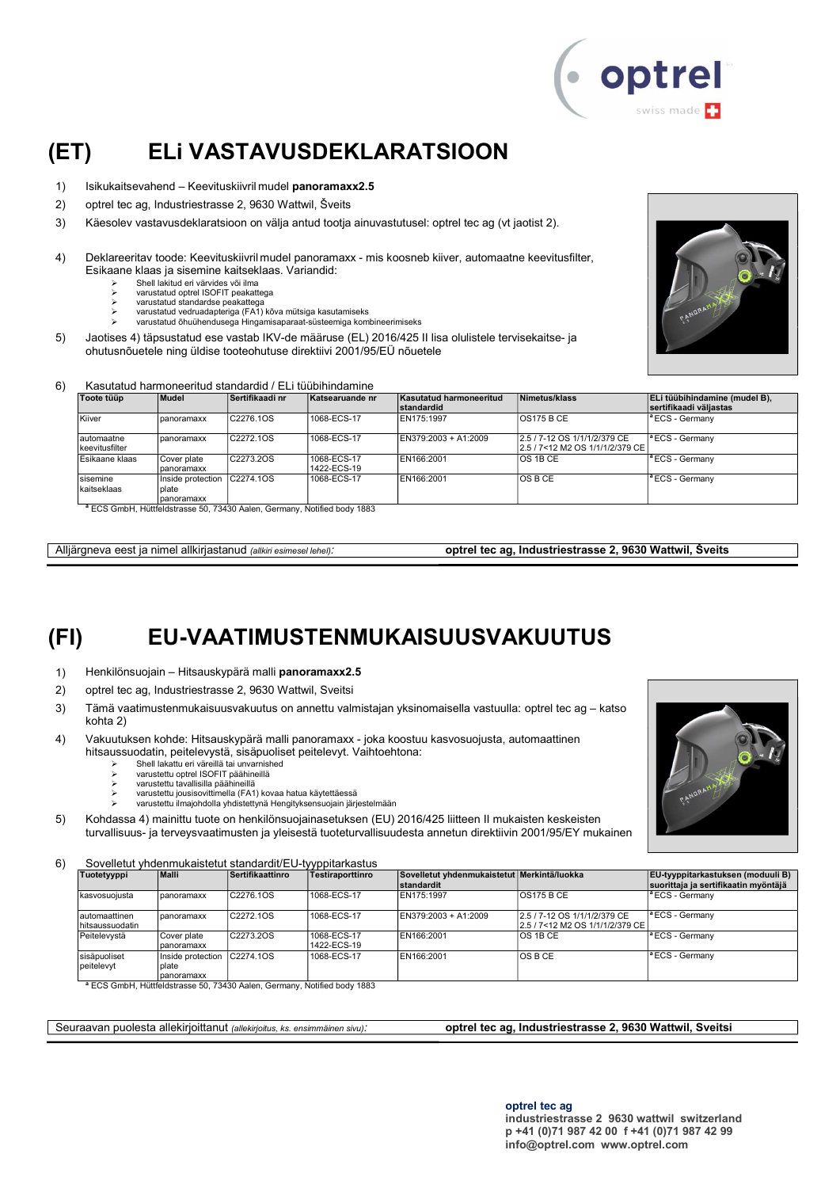

### (ET) ELi VASTAVUSDEKLARATSIOON

- 1) Isikukaitsevahend Keevituskiivril mudel panoramaxx2.5
- 2) optrel tec ag, Industriestrasse 2, 9630 Wattwil, Šveits
- 3) Käesolev vastavusdeklaratsioon on välja antud tootja ainuvastutusel: optrel tec ag (vt jaotist 2).
- 4) Deklareeritav toode: Keevituskiivril mudel panoramaxx mis koosneb kiiver, automaatne keevitusfilter, Esikaane klaas ja sisemine kaitseklaas. Variandid:
	- $\geq$  Shell lakitud eri värvides või ilma
	- varustatud optrel ISOFIT peakattega
	- varustatud standardse peakattega varustatud vedruadapteriga (FA1) kõva mütsiga kasutamiseks
		- varustatud õhuühendusega Hingamisaparaat-süsteemiga kombineerimiseks
- 5) Jaotises 4) täpsustatud ese vastab IKV-de määruse (EL) 2016/425 II lisa olulistele tervisekaitse- ja ohutusnõuetele ning üldise tooteohutuse direktiivi 2001/95/EÜ nõuetele



#### 6) Kasutatud harmoneeritud standardid / ELi tüübihindamine

| Toote tüüp                    | Mudel             | Sertifikaadi nr        | Katsearuande nr | Kasutatud harmoneeritud | Nimetus/klass                                                      | ELi tüübihindamine (mudel B),      |
|-------------------------------|-------------------|------------------------|-----------------|-------------------------|--------------------------------------------------------------------|------------------------------------|
|                               |                   |                        |                 | standardid              |                                                                    | sertifikaadi väljastas             |
| Kiiver                        | panoramaxx        | C2276.1OS              | 1068-ECS-17     | EN175:1997              | <b>OS175 B CE</b>                                                  | <sup>a</sup> ECS - Germany         |
| lautomaatne<br>keevitusfilter | panoramaxx        | C <sub>2272</sub> .10S | 1068-ECS-17     | EN379:2003 + A1:2009    | 2.5 / 7-12 OS 1/1/1/2/379 CE<br>l2.5 / 7<12 M2 OS 1/1/1/2/379 CE l | $ $ <sup>a</sup> ECS - Germany     |
| Esikaane klaas                | Cover plate       | C2273.2OS              | 1068-ECS-17     | EN166:2001              | IOS 1B CE                                                          | $\vert$ <sup>a</sup> ECS - Germany |
|                               | panoramaxx        |                        | 1422-ECS-19     |                         |                                                                    |                                    |
| sisemine                      | Inside protection | C2274.10S              | 1068-ECS-17     | EN166:2001              | IOS B CE                                                           | <sup>a</sup> ECS - Germany         |
| kaitseklaas                   | plate             |                        |                 |                         |                                                                    |                                    |
|                               | Ipanoramaxx       |                        |                 |                         |                                                                    |                                    |
|                               |                   |                        |                 |                         |                                                                    |                                    |

ECS GmbH, Hüttfeldstrasse 50, 73430 Aalen, Germany, Notified body 1883

Alljärgneva eest ja nimel allkirjastanud (allkiri esimesel lehel): optrel tec ag, Industriestrasse 2, 9630 Wattwil, Šveits

### (FI) EU-VAATIMUSTENMUKAISUUSVAKUUTUS

- 1) Henkilönsuojain Hitsauskypärä malli panoramaxx2.5
- 2) optrel tec ag, Industriestrasse 2, 9630 Wattwil, Sveitsi
- 3) Tämä vaatimustenmukaisuusvakuutus on annettu valmistajan yksinomaisella vastuulla: optrel tec ag katso kohta 2)
- 4) Vakuutuksen kohde: Hitsauskypärä malli panoramaxx joka koostuu kasvosuojusta, automaattinen hitsaussuodatin, peitelevystä, sisäpuoliset peitelevyt. Vaihtoehtona:
	- Shell lakattu eri väreillä tai unvarnished
	- varustettu optrel ISOFIT päähineillä varustettu tavallisilla päähineillä
	-
	- varustettu jousisovittimella (FA1) kovaa hatua käytettäessä varustettu ilmajohdolla yhdistettynä Hengityksensuojain järjestelmään
- 5) Kohdassa 4) mainittu tuote on henkilönsuojainasetuksen (EU) 2016/425 liitteen II mukaisten keskeisten turvallisuus- ja terveysvaatimusten ja yleisestä tuoteturvallisuudesta annetun direktiivin 2001/95/EY mukainen

6) Sovelletut yhdenmukaistetut standardit/EU-tyyppitarkastus

| Tuotetyyppi                        | <b>Malli</b>                              | Sertifikaattinro       | Testiraporttinro           | Sovelletut vhdenmukaistetut Merkintä/luokka<br>standardit |                                                                 | EU-tyyppitarkastuksen (moduuli B)<br>suorittaja ja sertifikaatin myöntäjä |
|------------------------------------|-------------------------------------------|------------------------|----------------------------|-----------------------------------------------------------|-----------------------------------------------------------------|---------------------------------------------------------------------------|
| Ikasvosuoiusta                     | panoramaxx                                | C <sub>2276</sub> .1OS | 1068-ECS-17                | EN175:1997                                                | <b>OS175 B CE</b>                                               | <sup>a</sup> ECS - Germany                                                |
| lautomaattinen<br>Ihitsaussuodatin | panoramaxx                                | C2272.1OS              | 1068-ECS-17                | EN379:2003 + A1:2009                                      | 2.5 / 7-12 OS 1/1/1/2/379 CE<br>2.5 / 7<12 M2 OS 1/1/1/2/379 CE | <sup>a</sup> ECS - Germany                                                |
| Peitelevystä                       | Cover plate<br>panoramaxx                 | C2273.2OS              | 1068-ECS-17<br>1422-ECS-19 | EN166:2001                                                | IOS 1B CE                                                       | <sup>a</sup> ECS - Germany                                                |
| sisäpuoliset<br>l peitelevvt       | Inside protection<br>plate<br>Tpanoramaxx | C2274.10S              | 1068-ECS-17                | EN166:2001                                                | <b>OSBCE</b>                                                    | <sup>a</sup> ECS - Germany                                                |

<sup>a</sup> ECS GmbH, Hüttfeldstrasse 50, 73430 Aalen, Germany, Notified body 1883

Seuraavan puolesta allekirjoittanut (allekirjoitus, ks. ensimmäinen sivu): optrel tec ag, Industriestrasse 2, 9630 Wattwil, Sveitsi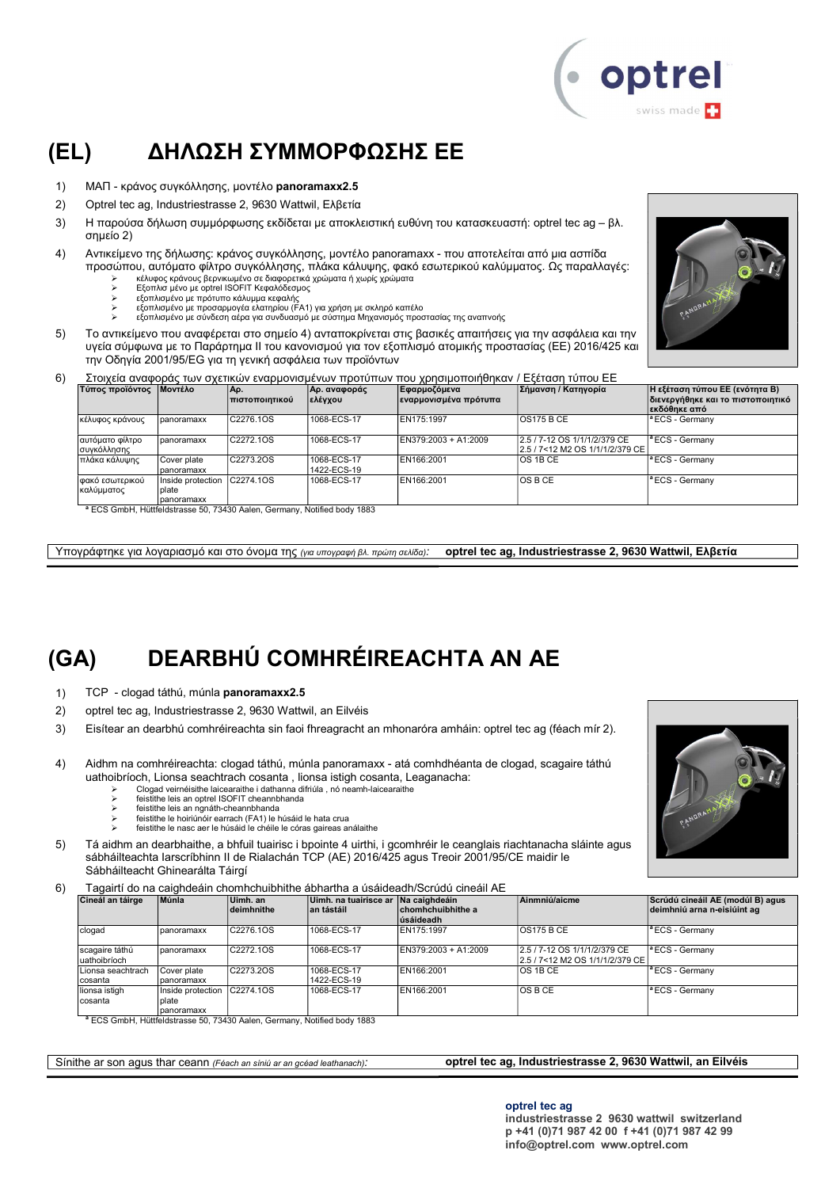

### (EL) ΔΗΛΩΣΗ ΣΥΜΜΟΡΦΩΣΗΣ ΕΕ

- 1) ΜΑΠ κράνος συγκόλλησης, μοντέλο panoramaxx2.5
- 2) Optrel tec ag, Industriestrasse 2, 9630 Wattwil, Ελβετία
- 3) Η παρούσα δήλωση συμμόρφωσης εκδίδεται με αποκλειστική ευθύνη του κατασκευαστή: optrel tec ag βλ. σημείο 2)
- 4) Αντικείμενο της δήλωσης: κράνος συγκόλλησης, μοντέλο panoramaxx που αποτελείται από μια ασπίδα προσώπου, αυτόματο φίλτρο συγκόλλησης, πλάκα κάλυψης, φακό εσωτερικού καλύμματος. Ως παραλλαγές:
	- κέλυφος κράνους βερνικωμένο σε διαφορετικά χρώματα ή χωρίς χρώματα Εξοπλισ μένο με optrel ISOFIT Κεφαλόδεσμος
		-
	-
	- εξοπλισμένο με πρότυπο κάλυμμα κεφαλής εξοπλισμένο με προσαρμογέα ελατηρίου (FA1) για χρήση με σκληρό καπέλο εξοπλισμένο με σύνδεση αέρα για συνδυασμό με σύστημα Μηχανισμός προστασίας της αναπνοής
- 5) Το αντικείμενο που αναφέρεται στο σημείο 4) ανταποκρίνεται στις βασικές απαιτήσεις για την ασφάλεια και την υγεία σύμφωνα με το Παράρτημα II του κανονισμού για τον εξοπλισμό ατομικής προστασίας (ΕΕ) 2016/425 και την Οδηγία 2001/95/EG για τη γενική ασφάλεια των προϊόντων



6) Στοιχεία αναφοράς των σχετικών εναρμονισμένων προτύπων που χρησιμοποιήθηκαν / Εξέταση τύπου ΕΕ

| Τύπος προϊόντος   Μοντέλο      |                                   | IΑρ.<br><u>Ι πιστοποιητικού</u>                                                                        | Αρ. αναφοράς<br> ελέγχου   | Εφαρμοζόμεν <b>α</b><br>εναρμονισμένα πρότυπα | Σήμανση / Κατηγορία                                                | Η εξέταση τύπου ΕΕ (ενότητα Β)<br> διενεργήθηκε και το πιστοποιητικό<br>∣εκδόθηκε από |
|--------------------------------|-----------------------------------|--------------------------------------------------------------------------------------------------------|----------------------------|-----------------------------------------------|--------------------------------------------------------------------|---------------------------------------------------------------------------------------|
| κέλυφος κράνους                | panoramaxx                        | C2276.1OS                                                                                              | 1068-ECS-17                | EN175:1997                                    | <b>OS175 B CE</b>                                                  | <sup>a</sup> ECS - Germanv                                                            |
| αυτόματο φίλτρο<br>συγκόλλησης | panoramaxx                        | C2272.1OS                                                                                              | 1068-ECS-17                | EN379:2003 + A1:2009                          | 2.5 / 7-12 OS 1/1/1/2/379 CE<br>l2.5 / 7<12 M2 OS 1/1/1/2/379 CE l | <sup>a</sup> ECS - Germany                                                            |
| πλάκα κάλυψης                  | Cover plate<br>Ipanoramaxx        | C2273.2OS                                                                                              | 1068-ECS-17<br>1422-ECS-19 | EN166:2001                                    | OS 1B CE                                                           | lª ECS - Germanv                                                                      |
| φακό εσωτερικού<br>καλύμματος  | Inside protection<br><b>plate</b> | C2274.10S                                                                                              | 1068-ECS-17                | EN166:2001                                    | IOS B CE                                                           | <sup>a</sup> ECS - Germany                                                            |
|                                | panoramaxx                        | $3 - 0.001$ $111$ $1111$ $111$ $111$ $111$ $111$ $111$ $111$ $111$ $111$ $111$ $111$ $111$ $111$ $111$ |                            |                                               |                                                                    |                                                                                       |

<sup>a</sup> ECS GmbH, Hüttfeldstrasse 50, 73430 Aalen, Germany, Notified body 1883

Υπογράφτηκε για λογαριασμό και στο όνομα της (για υπογραφή βλ. πρώτη σελίδα): optrel tec ag, Industriestrasse 2, 9630 Wattwil, Ελβετία

# (GA) DEARBHÚ COMHRÉIREACHTA AN AE

- 1) TCP clogad táthú, múnla panoramaxx2.5
- 2) optrel tec ag, Industriestrasse 2, 9630 Wattwil, an Eilvéis
- 3) Eisítear an dearbhú comhréireachta sin faoi fhreagracht an mhonaróra amháin: optrel tec ag (féach mír 2).
- 4) Aidhm na comhréireachta: clogad táthú, múnla panoramaxx atá comhdhéanta de clogad, scagaire táthú uathoibríoch, Lionsa seachtrach cosanta , lionsa istigh cosanta, Leaganacha:
	- Clogad veirnéisithe laicearaithe i dathanna difriúla , nó neamh-laicearaithe<br>
	Feistithe leis an ontrel ISOEIT cheannbhanda
	- feistithe leis an optrel ISOFIT cheannbhanda feistithe leis an ngnáth-cheannbhanda
	-
	- feistithe le hoiriúnóir earrach (FA1) le húsáid le hata crua feistithe le nasc aer le húsáid le chéile le córas gaireas análaithe
- 5) Tá aidhm an dearbhaithe, a bhfuil tuairisc i bpointe 4 uirthi, i gcomhréir le ceanglais riachtanacha sláinte agus sábháilteachta Iarscríbhinn II de Rialachán TCP (AE) 2016/425 agus Treoir 2001/95/CE maidir le Sábháilteacht Ghinearálta Táirgí
- 6) Tagairtí do na caighdeáin chomhchuibhithe ábhartha a úsáideadh/Scrúdú cineáil AE

| Cineál an táirge                | Múnla                                     | Uimh. an<br>deimhnithe | Uimh, na tuairisce ar Na caighdeáin<br>∣an tástáil | chomhchuibhithe a<br>lúsáideadh | Ainmniú/aicme                                                      | Scrúdú cineáil AE (modúl B) agus<br>deimhniú arna n-eisiúint ag |
|---------------------------------|-------------------------------------------|------------------------|----------------------------------------------------|---------------------------------|--------------------------------------------------------------------|-----------------------------------------------------------------|
| clogad                          | panoramaxx                                | C2276.1OS              | 1068-ECS-17                                        | EN175:1997                      | <b>OS175 B CE</b>                                                  | <sup>a</sup> ECS - Germany                                      |
| scagaire táthú<br>Iuathoibríoch | panoramaxx                                | C2272.1OS              | 1068-ECS-17                                        | EN379:2003 + A1:2009            | 2.5 / 7-12 OS 1/1/1/2/379 CE<br>l2.5 / 7<12 M2 OS 1/1/1/2/379 CE l | <sup>1ª</sup> ECS - Germany                                     |
| I Lionsa seachtrach<br>cosanta  | Cover plate<br>panoramaxx                 | C2273.2OS              | 1068-ECS-17<br>1422-ECS-19                         | EN166:2001                      | IOS 1B CE                                                          | <sup>a</sup> ECS - Germany                                      |
| lionsa istigh<br>Icosanta       | Inside protection<br>plate<br>Ipanoramaxx | C2274.1OS              | 1068-ECS-17                                        | EN166:2001                      | IOS B CE                                                           | <sup>a</sup> ECS - Germany                                      |

<sup>a</sup> ECS GmbH, Hüttfeldstrasse 50, 73430 Aalen, Germany, Notified body 1883

Sínithe ar son agus thar ceann (Féach an síniú ar an gcéad leathanach): **optrel tec ag, Industriestrasse 2, 9630 Wattwil, an Eilvéis** 

#### optrel tec ag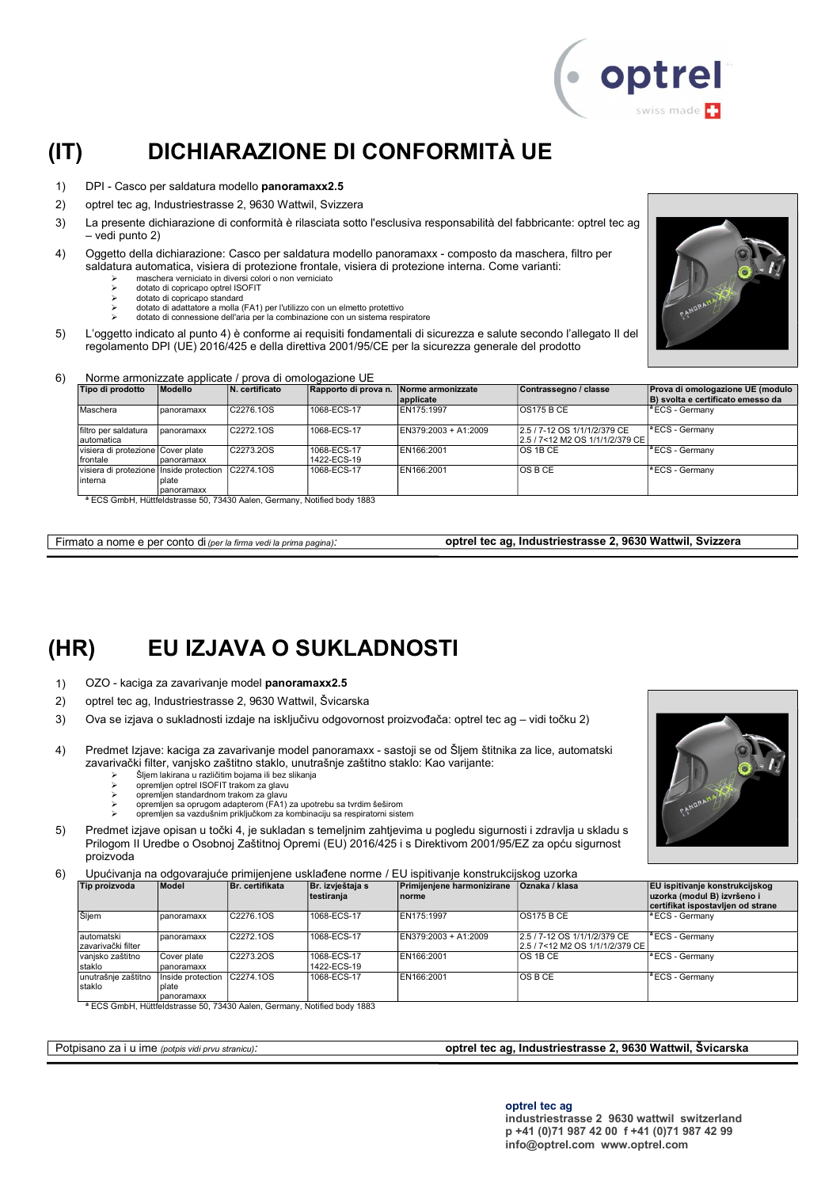

### (IT) DICHIARAZIONE DI CONFORMITÀ UE

- 1) DPI Casco per saldatura modello panoramaxx2.5
- 2) optrel tec ag, Industriestrasse 2, 9630 Wattwil, Svizzera
- 3) La presente dichiarazione di conformità è rilasciata sotto l'esclusiva responsabilità del fabbricante: optrel tec ag – vedi punto 2)
- 4) Oggetto della dichiarazione: Casco per saldatura modello panoramaxx composto da maschera, filtro per saldatura automatica, visiera di protezione frontale, visiera di protezione interna. Come varianti:
	- maschera verniciato in diversi colori o non verniciato dotato di copricapo optrel ISOFIT
		-
		- dotato di copricapo standard
		- dotato di adattatore a molla (FA1) per l'utilizzo con un elmetto protettivo dotato di connessione dell'aria per la combinazione con un sistema respiratore
- 5) L'oggetto indicato al punto 4) è conforme ai requisiti fondamentali di sicurezza e salute secondo l'allegato II del regolamento DPI (UE) 2016/425 e della direttiva 2001/95/CE per la sicurezza generale del prodotto



#### 6) Norme armonizzate applicate / prova di omologazione UE

| Tipo di prodotto                                  | Modello     | N. certificato                                                                                                                                                                                                                                                                                                                                                                     | Rapporto di prova n. Norme armonizzate | applicate            | Contrassegno / classe                                           | Prova di omologazione UE (modulo<br>B) svolta e certificato emesso da |
|---------------------------------------------------|-------------|------------------------------------------------------------------------------------------------------------------------------------------------------------------------------------------------------------------------------------------------------------------------------------------------------------------------------------------------------------------------------------|----------------------------------------|----------------------|-----------------------------------------------------------------|-----------------------------------------------------------------------|
| Maschera                                          | Ipanoramaxx | C2276.1OS                                                                                                                                                                                                                                                                                                                                                                          | 1068-ECS-17                            | EN175:1997           | <b>OS175 B CE</b>                                               | <sup>a</sup> ECS - Germany                                            |
| filtro per saldatura<br>Iautomatica               | panoramaxx  | C2272.1OS                                                                                                                                                                                                                                                                                                                                                                          | 1068-ECS-17                            | EN379:2003 + A1:2009 | 2.5 / 7-12 OS 1/1/1/2/379 CE<br>2.5 / 7<12 M2 OS 1/1/1/2/379 CE | $\vert$ <sup>a</sup> ECS - Germany                                    |
| visiera di protezione Cover plate                 |             | C2273.2OS                                                                                                                                                                                                                                                                                                                                                                          | 1068-ECS-17                            | EN166:2001           | IOS 1B CE                                                       | $\vert$ <sup>a</sup> ECS - Germany                                    |
| frontale                                          | panoramaxx  |                                                                                                                                                                                                                                                                                                                                                                                    | 1422-ECS-19                            |                      |                                                                 |                                                                       |
| Visiera di protezione Inside protection C2274.10S |             |                                                                                                                                                                                                                                                                                                                                                                                    | 1068-ECS-17                            | EN166:2001           | IOS B CE                                                        | <sup>a</sup> ECS - Germany                                            |
| Iinterna                                          | Iplate      |                                                                                                                                                                                                                                                                                                                                                                                    |                                        |                      |                                                                 |                                                                       |
|                                                   | panoramaxx  |                                                                                                                                                                                                                                                                                                                                                                                    |                                        |                      |                                                                 |                                                                       |
|                                                   |             | $F \cap \bigcap_{i=1}^{n}$ $F(i) = \bigcup_{i=1}^{n} F(i) = \bigcap_{i=1}^{n} F(i) = \bigcap_{i=1}^{n} F(i) = \bigcap_{i=1}^{n} F(i) = \bigcap_{i=1}^{n} F(i) = \bigcap_{i=1}^{n} F(i) = \bigcap_{i=1}^{n} F(i) = \bigcap_{i=1}^{n} F(i) = \bigcap_{i=1}^{n} F(i) = \bigcap_{i=1}^{n} F(i) = \bigcap_{i=1}^{n} F(i) = \bigcap_{i=1}^{n} F(i) = \bigcap_{i=1}^{n} F(i) = \bigcap_{$ |                                        |                      |                                                                 |                                                                       |

<sup>a</sup> ECS GmbH, Hüttfeldstrasse 50, 73430 Aalen, Germany, Notified body 1883

Firmato a nome e per conto di (per la firma vedi la prima pagina): **optrel tec ag, Industriestrasse 2, 9630 Wattwil, Svizzera** 

### (HR) EU IZJAVA O SUKLADNOSTI

- 1) OZO kaciga za zavarivanje model panoramaxx2.5
- 2) optrel tec ag, Industriestrasse 2, 9630 Wattwil, Švicarska
- 3) Ova se izjava o sukladnosti izdaje na isključivu odgovornost proizvođača: optrel tec ag vidi točku 2)
- 4) Predmet Izjave: kaciga za zavarivanje model panoramaxx sastoji se od Šljem štitnika za lice, automatski zavarivački filter, vanjsko zaštitno staklo, unutrašnje zaštitno staklo: Kao varijante:
	-
	- Šljem lakirana u različitim bojama ili bez slikanja opremljen optrel ISOFIT trakom za glavu
	-
	- opremljen standardnom trakom za glavu opremljen sa oprugom adapterom (FA1) za upotrebu sa tvrdim šeširom
	- opremljen sa vazdušnim priključkom za kombinaciju sa respiratorni sistem
- 5) Predmet izjave opisan u točki 4, je sukladan s temeljnim zahtjevima u pogledu sigurnosti i zdravlja u skladu s Prilogom II Uredbe o Osobnoj Zaštitnoj Opremi (EU) 2016/425 i s Direktivom 2001/95/EZ za opću sigurnost proizvoda
- 6) Upućivanja na odgovarajuće primijenjene usklađene norme / EU ispitivanje konstrukcijskog uzorka

| Tip proizvoda                    | Model                                    | Br. certifikata | Br. izvještaja s<br>testiranja | Primijenjene harmonizirane<br>Inorme | <b>Oznaka / klasa</b>                                           | <b>EU</b> ispitivanje konstrukcijskog<br>uzorka (modul B) izvršeno i<br>certifikat ispostavljen od strane |
|----------------------------------|------------------------------------------|-----------------|--------------------------------|--------------------------------------|-----------------------------------------------------------------|-----------------------------------------------------------------------------------------------------------|
| Šljem                            | panoramaxx                               | C2276.1OS       | 1068-ECS-17                    | EN175:1997                           | <b>OS175 B CE</b>                                               | <sup>a</sup> ECS - Germany                                                                                |
| automatski<br>zavarivački filter | panoramaxx                               | C2272.1OS       | 1068-ECS-17                    | EN379:2003 + A1:2009                 | 2.5 / 7-12 OS 1/1/1/2/379 CE<br>2.5 / 7<12 M2 OS 1/1/1/2/379 CE | $\mathsf{I}^a$ ECS - Germany                                                                              |
| vanisko zaštitno<br>staklo       | Cover plate<br>panoramaxx                | C2273.2OS       | 1068-ECS-17<br>1422-ECS-19     | EN166:2001                           | <b>OS 1B CE</b>                                                 | <sup>a</sup> ECS - Germany                                                                                |
| unutrašnje zaštitno<br>staklo    | Inside protection<br>plate<br>panoramaxx | C2274.1OS       | 1068-ECS-17                    | EN166:2001                           | <b>OSBCE</b>                                                    | $ $ <sup>a</sup> ECS - Germany                                                                            |

<sup>a</sup> ECS GmbH, Hüttfeldstrasse 50, 73430 Aalen, Germany, Notified body 1883

#### Potpisano za i u ime (potpis vidi prvu stranicu): **optrel tec ag, Industriestrasse 2, 9630 Wattwil, Švicarska**

optrel tec ag

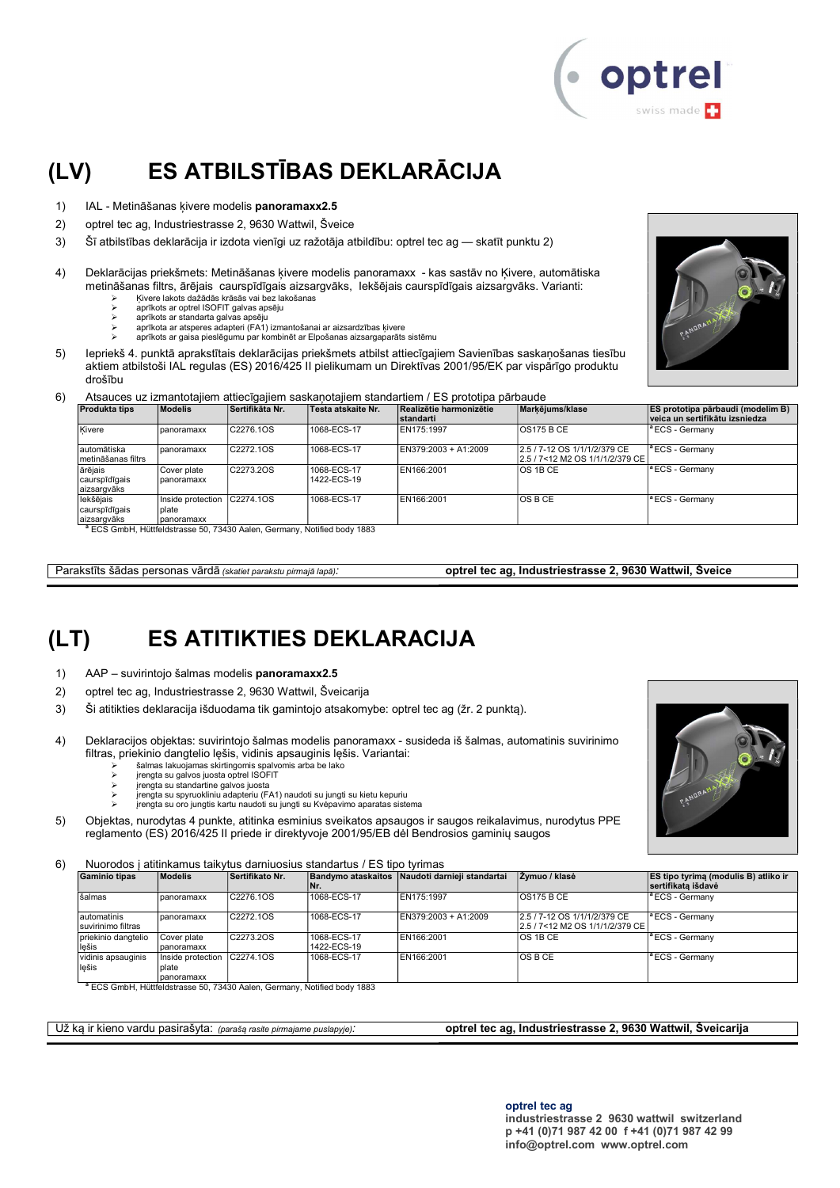

# (LV) ES ATBILSTĪBAS DEKLARĀCIJA

- 1) IAL Metināšanas ķivere modelis panoramaxx2.5
- 2) optrel tec ag, Industriestrasse 2, 9630 Wattwil, Šveice
- 3) Šī atbilstības deklarācija ir izdota vienīgi uz ražotāja atbildību: optrel tec ag skatīt punktu 2)
- 4) Deklarācijas priekšmets: Metināšanas ķivere modelis panoramaxx kas sastāv no Ķivere, automātiska metināšanas filtrs, ārējais caurspīdīgais aizsargvāks, Iekšējais caurspīdīgais aizsargvāks. Varianti: Ķivere lakots dažādās krāsās vai bez lakošanas
	- aprīkots ar optrel ISOFIT galvas apsēju
	- aprīkots ar standarta galvas apsēju<br>
	> aprīkota ar atsperes adapteri (FA1)
	- aprīkota ar atsperes adapteri (FA1) izmantošanai ar aizsardzības ķivere
	- aprīkots ar gaisa pieslēgumu par kombinēt ar Elpošanas aizsargaparāts sistēmu
- 5) Iepriekš 4. punktā aprakstītais deklarācijas priekšmets atbilst attiecīgajiem Savienības saskaņošanas tiesību aktiem atbilstoši IAL regulas (ES) 2016/425 II pielikumam un Direktīvas 2001/95/EK par vispārīgo produktu drošību
- 6) Atsauces uz izmantotajiem attiecīgajiem saskaņotajiem standartiem / ES prototipa pārbaude

| <b>Produkta tips</b>                      | <b>Modelis</b>                                     | Sertifikāta Nr. | Testa atskaite Nr.         | Realizētie harmonizētie<br>standarti | Markējums/klase                                                    | <b>ES prototipa pārbaudi (modelim B)</b><br>veica un sertifikātu izsniedza |
|-------------------------------------------|----------------------------------------------------|-----------------|----------------------------|--------------------------------------|--------------------------------------------------------------------|----------------------------------------------------------------------------|
| Kivere                                    | Ipanoramaxx                                        | C2276.1OS       | 1068-ECS-17                | EN175:1997                           | IOS175 B CE                                                        | <sup>a</sup> ECS - Germany                                                 |
| automātiska<br>Imetināšanas filtrs        | panoramaxx                                         | C2272.1OS       | 1068-ECS-17                | EN379:2003 + A1:2009                 | 2.5 / 7-12 OS 1/1/1/2/379 CE<br>l2.5 / 7<12 M2 OS 1/1/1/2/379 CE l | <sup>a</sup> ECS - Germany                                                 |
| ārējais<br>caurspīdīgais<br>aizsargvāks   | Cover plate<br>panoramaxx                          | C2273.2OS       | 1068-ECS-17<br>1422-ECS-19 | EN166:2001                           | IOS 1B CE                                                          | <sup>a</sup> ECS - Germanv                                                 |
| lekšējais<br>caurspīdīgais<br>aizsargvāks | Inside protection C2274.1OS<br>plate<br>panoramaxx |                 | 1068-ECS-17                | EN166:2001                           | IOS B CE                                                           | <sup>a</sup> ECS - Germany                                                 |

aizsargvāks panoramaxx <sup>a</sup> ECS GmbH, Hüttfeldstrasse 50, 73430 Aalen, Germany, Notified body 1883

Parakstīts šādas personas vārdā *(skatiet parakstu pirmajā lapā)*: **optrel tec ag, Industriestrasse 2, 9630 Wattwil, Šveice** 

### (LT) ES ATITIKTIES DEKLARACIJA

- 1) AAP suvirintojo šalmas modelis panoramaxx2.5
- 2) optrel tec ag, Industriestrasse 2, 9630 Wattwil, Šveicarija
- 3) Ši atitikties deklaracija išduodama tik gamintojo atsakomybe: optrel tec ag (žr. 2 punktą).
- 4) Deklaracijos objektas: suvirintojo šalmas modelis panoramaxx susideda iš šalmas, automatinis suvirinimo filtras, priekinio dangtelio lęšis, vidinis apsauginis lęšis. Variantai:
	- šalmas lakuojamas skirtingomis spalvomis arba be lako
	- įrengta su galvos juosta optrel ISOFIT įrengta su standartine galvos juosta
	-
	- įrengta su spyruokliniu adapteriu (FA1) naudoti su jungti su kietu kepuriu įrengta su oro jungtis kartu naudoti su jungti su Kvėpavimo aparatas sistema
- 5) Objektas, nurodytas 4 punkte, atitinka esminius sveikatos apsaugos ir saugos reikalavimus, nurodytus PPE reglamento (ES) 2016/425 II priede ir direktyvoje 2001/95/EB dėl Bendrosios gaminių saugos

6) Nuorodos į atitinkamus taikytus darniuosius standartus / ES tipo tyrimas

| <b>Gaminio tipas</b>              | <b>Modelis</b>             | Sertifikato Nr. | <b>Bandymo ataskaitos</b><br>INr. | Naudoti darnieji standartaj | Zymuo / klasė                                                      | <b>ES tipo tyrima (modulis B) atliko ir</b><br><b>Isertifikata išdavė</b> |
|-----------------------------------|----------------------------|-----------------|-----------------------------------|-----------------------------|--------------------------------------------------------------------|---------------------------------------------------------------------------|
| šalmas                            | panoramaxx                 | C2276.1OS       | 1068-ECS-17                       | EN175:1997                  | <b>OS175 B CE</b>                                                  | lª ECS - Germanv                                                          |
| automatinis<br>suvirinimo filtras | I panoramaxx               | C2272.1OS       | 1068-ECS-17                       | EN379:2003 + A1:2009        | 2.5 / 7-12 OS 1/1/1/2/379 CE<br>l2.5 / 7<12 M2 OS 1/1/1/2/379 CE l | <sup>1ª</sup> ECS - Germany                                               |
| priekinio dangtelio<br>lešis      | Cover plate<br>panoramaxx  | C2273.2OS       | 1068-ECS-17<br>1422-ECS-19        | EN166:2001                  | <b>OS 1B CE</b>                                                    | <sup>a</sup> ECS - Germany                                                |
| vidinis apsauginis<br>lešis       | Inside protection<br>plate | C2274.10S       | 1068-ECS-17                       | EN166:2001                  | <b>OSBCE</b>                                                       | <sup>a</sup> ECS - Germany                                                |
| $3 - 0.00$ $111$ $1111$           | Ipanoramaxx                |                 |                                   |                             |                                                                    |                                                                           |

ECS GmbH, Hüttfeldstrasse 50, 73430 Aalen, Germany, Notified body 1883

Už ką ir kieno vardu pasirašyta: (parašą rasite pirmajame puslapyje): **optrel tec ag, Industriestrasse 2, 9630 Wattwil, Šveicarija** 

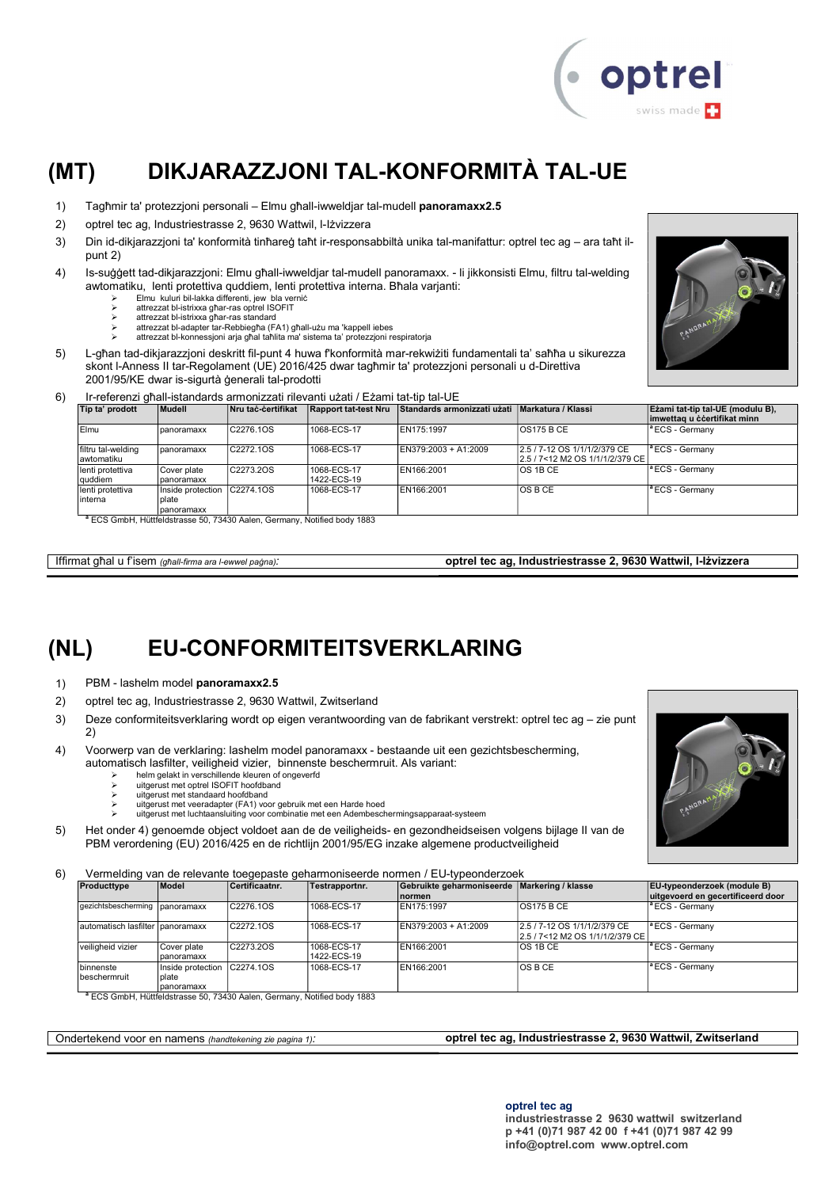

# (MT) DIKJARAZZJONI TAL-KONFORMITÀ TAL-UE

- 1) Tagħmir ta' protezzjoni personali Elmu għall-iwweldjar tal-mudell panoramaxx2.5
- 2) optrel tec ag, Industriestrasse 2, 9630 Wattwil, l-Iżvizzera
- 3) Din id-dikjarazzjoni ta' konformità tinħareġ taħt ir-responsabbiltà unika tal-manifattur: optrel tec ag ara taħt ilpunt 2)
- 4) Is-suġġett tad-dikjarazzjoni: Elmu għall-iwweldjar tal-mudell panoramaxx. li jikkonsisti Elmu, filtru tal-welding awtomatiku, lenti protettiva quddiem, lenti protettiva interna. Bħala varjanti:
	- Elmu kuluri bil-lakka differenti, jew bla verniċ
	- attrezzat bl-istrixxa għar-ras optrel ISOFIT attrezzat bl-istrixxa għar-ras standard
	-
	- attrezzat bl-adapter tar-Rebbiegħa (FA1) għall-użu ma 'kappell iebes attrezzat bl-konnessjoni arja għal taħlita ma' sistema ta' protezzjoni respiratorja
- 5) L-għan tad-dikjarazzjoni deskritt fil-punt 4 huwa f'konformità mar-rekwiżiti fundamentali ta' saħħa u sikurezza skont l-Anness II tar-Regolament (UE) 2016/425 dwar tagħmir ta' protezzjoni personali u d-Direttiva 2001/95/KE dwar is-sigurtà ġenerali tal-prodotti
- 

#### 6) Ir-referenzi għall-istandards armonizzati rilevanti użati / Eżami tat-tip tal-UE

| Tip ta' prodott                   | Mudell                                   | Nru taċ-ċertifikat | <b>Rapport tat-test Nru</b> | Standards armonizzati użati Markatura / Klassi |                                                                    | Ezami tat-tip tal-UE (modulu B),<br>imwettag u ccertifikat minn |
|-----------------------------------|------------------------------------------|--------------------|-----------------------------|------------------------------------------------|--------------------------------------------------------------------|-----------------------------------------------------------------|
| Elmu                              | panoramaxx                               | C2276.1OS          | 1068-ECS-17                 | EN175:1997                                     | <b>OS175 B CE</b>                                                  | <sup>a</sup> ECS - Germanv                                      |
| filtru tal-welding<br>lawtomatiku | panoramaxx                               | C2272.1OS          | 1068-ECS-17                 | EN379:2003 + A1:2009                           | 2.5 / 7-12 OS 1/1/1/2/379 CE<br>l2.5 / 7<12 M2 OS 1/1/1/2/379 CE l | <sup>a</sup> ECS - Germanv                                      |
| lenti protettiva<br>quddiem       | Cover plate<br>panoramaxx                | C2273.2OS          | 1068-ECS-17<br>1422-ECS-19  | EN166:2001                                     | IOS 1B CE                                                          | <sup>a</sup> ECS - Germanv                                      |
| lenti protettiva<br>linterna      | Inside protection<br>plate<br>panoramaxx | C2274.10S          | 1068-ECS-17                 | EN166:2001                                     | IOS B CE                                                           | <sup>a</sup> ECS - Germanv                                      |
| _____________________             | -- --                                    | $\sim$             |                             |                                                |                                                                    |                                                                 |

<sup>a</sup> ECS GmbH, Hüttfeldstrasse 50, 73430 Aalen, Germany, Notified body 1883

Iffirmat għal u f'isem (għall-firma ara l-ewwel paġna): **optrel tec ag, Industriestrasse 2, 9630 Wattwil, I-Iżvizzera** 

### (NL) EU-CONFORMITEITSVERKLARING

- 1) PBM lashelm model panoramaxx2.5
- 2) optrel tec ag, Industriestrasse 2, 9630 Wattwil, Zwitserland
- 3) Deze conformiteitsverklaring wordt op eigen verantwoording van de fabrikant verstrekt: optrel tec ag zie punt 2)
- 4) Voorwerp van de verklaring: lashelm model panoramaxx bestaande uit een gezichtsbescherming, automatisch lasfilter, veiligheid vizier, binnenste beschermruit. Als variant:
	- helm gelakt in verschillende kleuren of ongeverfd uitgerust met optrel ISOFIT hoofdband
	-
	- uitgerust met standaard hoofdband
	- uitgerust met veeradapter (FA1) voor gebruik met een Harde hoed
	- uitgerust met luchtaansluiting voor combinatie met een Adembeschermingsapparaat-systeem

5) Het onder 4) genoemde object voldoet aan de de veiligheids- en gezondheidseisen volgens bijlage II van de PBM verordening (EU) 2016/425 en de richtlijn 2001/95/EG inzake algemene productveiligheid

6) Vermelding van de relevante toegepaste geharmoniseerde normen / EU-typeonderzoek

|                                   |                              | ີ                                                                                   |                |                                              |                                    |                                    |
|-----------------------------------|------------------------------|-------------------------------------------------------------------------------------|----------------|----------------------------------------------|------------------------------------|------------------------------------|
| Producttype                       | Model                        | Certificaatnr.                                                                      | Testrapportnr. | Gebruikte geharmoniseerde Markering / klasse |                                    | <b>EU-typeonderzoek (module B)</b> |
|                                   |                              |                                                                                     |                | Inormen                                      |                                    | uitgevoerd en gecertificeerd door  |
| gezichtsbescherming   panoramaxx  |                              | C2276.1OS                                                                           | 1068-ECS-17    | EN175:1997                                   | IOS175 B CE                        | <sup>a</sup> ECS - Germany         |
|                                   |                              |                                                                                     |                |                                              |                                    |                                    |
| automatisch lasfilter Ipanoramaxx |                              | C2272.1OS                                                                           | 1068-ECS-17    | EN379:2003 + A1:2009                         | 2.5 / 7-12 OS 1/1/1/2/379 CE       | <sup>a</sup> ECS - Germany         |
|                                   |                              |                                                                                     |                |                                              | l2.5 / 7<12 M2 OS 1/1/1/2/379 CE l |                                    |
| veiligheid vizier                 | Cover plate                  | C2273.2OS                                                                           | 1068-ECS-17    | EN166:2001                                   | IOS 1B CE                          | <sup>a</sup> ECS - Germany         |
|                                   | panoramaxx                   |                                                                                     | 1422-ECS-19    |                                              |                                    |                                    |
| binnenste                         | Inside protection IC2274.1OS |                                                                                     | 1068-ECS-17    | EN166:2001                                   | IOS B CE                           | <sup>a</sup> ECS - Germany         |
| beschermruit                      | plate                        |                                                                                     |                |                                              |                                    |                                    |
|                                   | panoramaxx                   |                                                                                     |                |                                              |                                    |                                    |
|                                   |                              | <sup>a</sup> ECS GmbH, Hüttfeldstrasse 50, 73430 Aalen, Germany, Notified body 1883 |                |                                              |                                    |                                    |

Ondertekend voor en namens (handtekening zie pagina 1): **optrel tec ag, Industriestrasse 2, 9630 Wattwil, Zwitserland**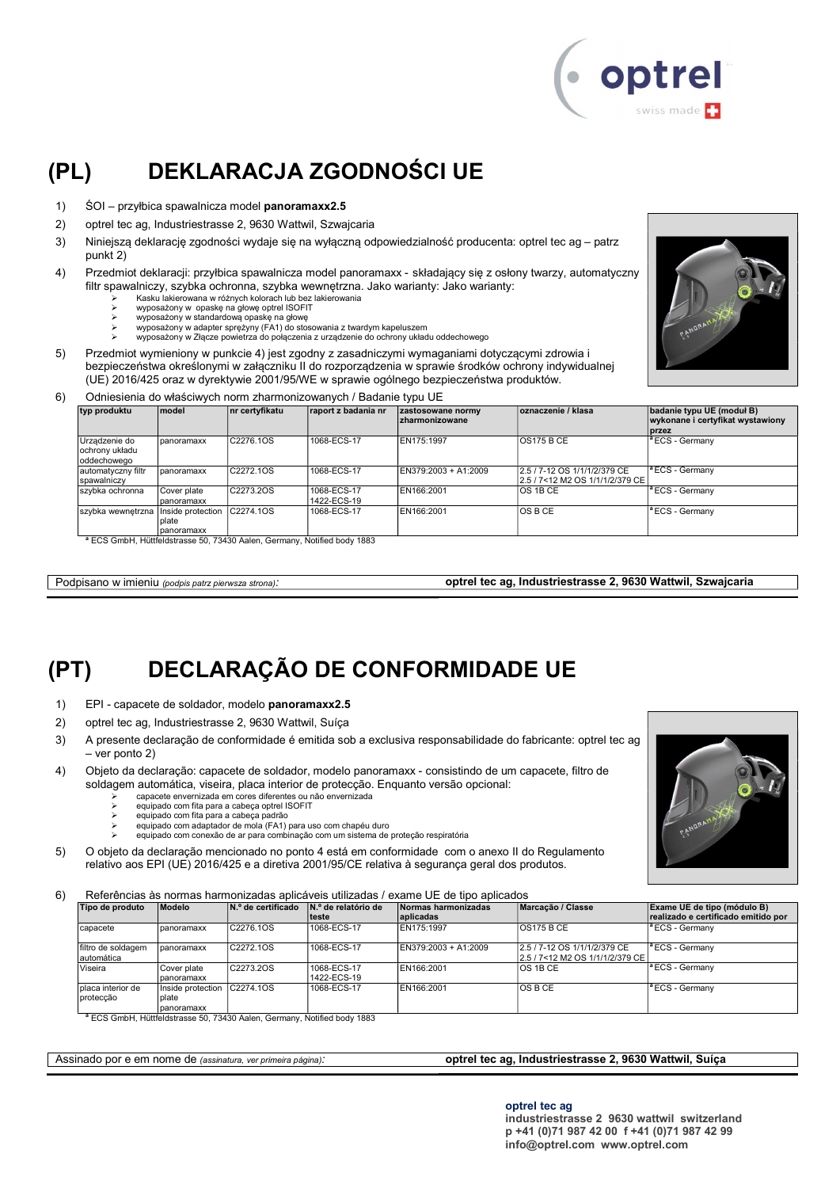

# (PL) DEKLARACJA ZGODNOŚCI UE

- 1) ŚOI przyłbica spawalnicza model panoramaxx2.5
- 2) optrel tec ag, Industriestrasse 2, 9630 Wattwil, Szwajcaria
- 3) Niniejszą deklarację zgodności wydaje się na wyłączną odpowiedzialność producenta: optrel tec ag patrz punkt 2)
- 4) Przedmiot deklaracji: przyłbica spawalnicza model panoramaxx składający się z osłony twarzy, automatyczny filtr spawalniczy, szybka ochronna, szybka wewnętrzna. Jako warianty: Jako warianty:
	- Kasku lakierowana w różnych kolorach lub bez lakierowania
	- wyposażony w opaskę na głowę optrel ISOFIT wyposażony w standardową opaskę na głowę
	-
	- wyposażony w adapter sprężyny (FA1) do stosowania z twardym kapeluszem wyposażony w Złącze powietrza do połączenia z urządzenie do ochrony układu oddechowego
- 5) Przedmiot wymieniony w punkcie 4) jest zgodny z zasadniczymi wymaganiami dotyczącymi zdrowia i bezpieczeństwa określonymi w załączniku II do rozporządzenia w sprawie środków ochrony indywidualnej (UE) 2016/425 oraz w dyrektywie 2001/95/WE w sprawie ogólnego bezpieczeństwa produktów.
- 6) Odniesienia do właściwych norm zharmonizowanych / Badanie typu UE

| typ produktu                                   | <b>Imodel</b>                              | nr certyfikatu | raport z badania nr        | zastosowane normy<br><b>zharmonizowane</b> | oznaczenie / klasa                                              | badanie typu UE (moduł B)<br>wykonane i certyfikat wystawiony<br><b>przez</b> |
|------------------------------------------------|--------------------------------------------|----------------|----------------------------|--------------------------------------------|-----------------------------------------------------------------|-------------------------------------------------------------------------------|
| Urządzenie do<br>ochrony układu<br>oddechowego | Ipanoramaxx                                | C2276.1OS      | 1068-ECS-17                | EN175:1997                                 | <b>OS175 B CE</b>                                               | <sup>a</sup> ECS - Germany                                                    |
| automatyczny filtr<br>spawalniczy              | panoramaxx                                 | C2272.1OS      | 1068-ECS-17                | EN379:2003 + A1:2009                       | 2.5 / 7-12 OS 1/1/1/2/379 CE<br>2.5 / 7<12 M2 OS 1/1/1/2/379 CE | $ $ <sup>a</sup> ECS - Germany                                                |
| szybka ochronna                                | Cover plate<br>panoramaxx                  | C2273.2OS      | 1068-ECS-17<br>1422-ECS-19 | EN166:2001                                 | <b>OS 1B CE</b>                                                 | <sup>1ª</sup> ECS - Germany                                                   |
| szybka wewnętrzna                              | Inside protection<br>Iplate<br>Ipanoramaxx | C2274.10S      | 1068-ECS-17                | EN166:2001                                 | <b>OSBCE</b>                                                    | <sup>a</sup> ECS - Germany                                                    |

<sup>a</sup> ECS GmbH, Hüttfeldstrasse 50, 73430 Aalen, Germany, Notified body 1883

Podpisano w imieniu (podpis patrz pierwsza strona): optrel tec ag, Industriestrasse 2, 9630 Wattwil, Szwajcaria

# (PT) DECLARAÇÃO DE CONFORMIDADE UE

- 1) EPI capacete de soldador, modelo panoramaxx2.5
- 2) optrel tec ag, Industriestrasse 2, 9630 Wattwil, Suíça
- 3) A presente declaração de conformidade é emitida sob a exclusiva responsabilidade do fabricante: optrel tec ag – ver ponto 2)
- 4) Objeto da declaração: capacete de soldador, modelo panoramaxx consistindo de um capacete, filtro de soldagem automática, viseira, placa interior de protecção. Enquanto versão opcional:
	- capacete envernizada em cores diferentes ou não envernizada
	- equipado com fita para a cabeça optrel ISOFIT
	- equipado com fita para a cabeça padrão
	- equipado com adaptador de mola (FA1) para uso com chapéu duro equipado com conexão de ar para combinação com um sistema de proteção respiratória
- 5) O objeto da declaração mencionado no ponto 4 está em conformidade com o anexo II do Regulamento relativo aos EPI (UE) 2016/425 e a diretiva 2001/95/CE relativa à segurança geral dos produtos.

6) Referências às normas harmonizadas aplicáveis utilizadas / exame UE de tipo aplicados

| Modelo                                   | N.º de certificado     | IN.º de relatório de<br>lteste | Normas harmonizadas<br>aplicadas | Marcacão / Classe            | Exame UE de tipo (módulo B)<br>realizado e certificado emitido por |
|------------------------------------------|------------------------|--------------------------------|----------------------------------|------------------------------|--------------------------------------------------------------------|
| panoramaxx                               | C2276.1OS              | 1068-ECS-17                    | EN175:1997                       | <b>OS175 B CE</b>            | <sup>a</sup> ECS - Germany                                         |
| panoramaxx                               | C <sub>2272</sub> .10S | 1068-ECS-17                    | EN379:2003 + A1:2009             | 2.5 / 7-12 OS 1/1/1/2/379 CE | <sup>a</sup> ECS - Germanv                                         |
| Cover plate<br>panoramaxx                | C2273.2OS              | 1068-ECS-17<br>1422-ECS-19     | EN166:2001                       | OS 1B CE                     | <sup>a</sup> ECS - Germany                                         |
| Inside protection<br>plate<br>panoramaxx |                        | 1068-ECS-17                    | EN166:2001                       | OS B CE                      | <sup>a</sup> ECS - Germany                                         |
|                                          |                        | C2274.10S                      |                                  |                              | 2.5 / 7<12 M2 OS 1/1/1/2/379 CE                                    |

optrel tec ag

industriestrasse 2 9630 wattwil switzerland p +41 (0)71 987 42 00 f +41 (0)71 987 42 99 info@optrel.com www.optrel.com



Assinado por e em nome de (assinatura, ver primeira página): optrel tec ag, Industriestrasse 2, 9630 Wattwil, Suíça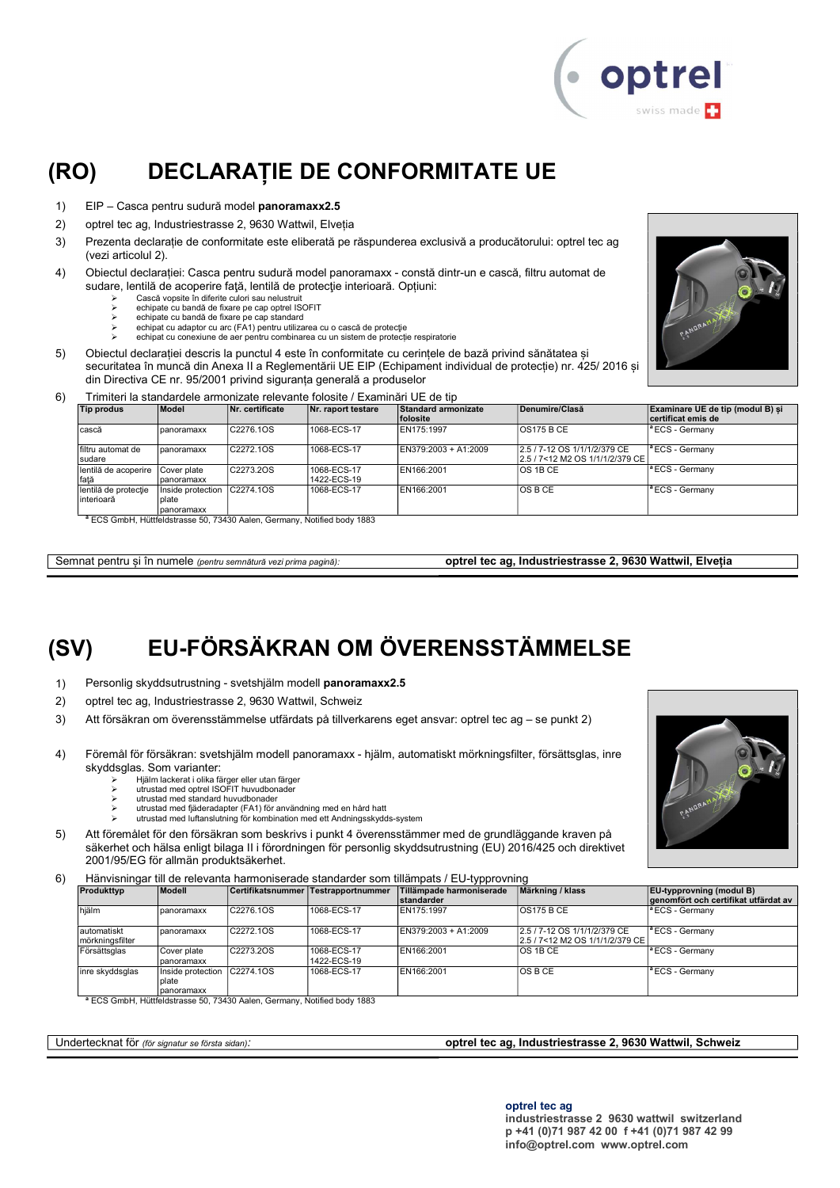

# (RO) DECLARAȚIE DE CONFORMITATE UE

- 1) EIP Casca pentru sudură model panoramaxx2.5
- 2) optrel tec ag, Industriestrasse 2, 9630 Wattwil, Elveția
- 3) Prezenta declarație de conformitate este eliberată pe răspunderea exclusivă a producătorului: optrel tec ag (vezi articolul 2).
- 4) Obiectul declarației: Casca pentru sudură model panoramaxx constă dintr-un e cască, filtru automat de sudare, lentilă de acoperire față, lentilă de protecție interioară. Opțiuni:
	- Cască vopsite în diferite culori sau nelustruit
	- echipate cu bandă de fixare pe cap optrel ISOFIT echipate cu bandă de fixare pe cap standard
	- echipat cu adaptor cu arc (FA1) pentru utilizarea cu o cască de protecţie
	- echipat cu conexiune de aer pentru combinarea cu un sistem de protecție respiratorie
- 5) Obiectul declarației descris la punctul 4 este în conformitate cu cerințele de bază privind sănătatea și securitatea în muncă din Anexa II a Reglementării UE EIP (Echipament individual de protecție) nr. 425/ 2016 și din Directiva CE nr. 95/2001 privind siguranța generală a produselor



6) Trimiteri la standardele armonizate relevante folosite / Examinări UE de tip

| Tip produs                          | Model                                      | Nr. certificate | Nr. raport testare         | Standard armonizate<br>folosite | Denumire/Clasă                                                    | Examinare UE de tip (modul B) si<br>certificat emis de |
|-------------------------------------|--------------------------------------------|-----------------|----------------------------|---------------------------------|-------------------------------------------------------------------|--------------------------------------------------------|
| cască                               | panoramaxx                                 | C2276.1OS       | 1068-ECS-17                | EN175:1997                      | <b>OS175 B CE</b>                                                 | <sup>a</sup> ECS - Germanv                             |
| Ifiltru automat de<br>sudare        | panoramaxx                                 | C2272.1OS       | 1068-ECS-17                | EN379:2003 + A1:2009            | 2.5 / 7-12 OS 1/1/1/2/379 CE<br>2.5 / 7<12 M2 OS 1/1/1/2/379 CE I | lª ECS - Germanv                                       |
| lentilă de acoperire<br>fată        | Cover plate<br>Ipanoramaxx                 | C2273.2OS       | 1068-ECS-17<br>1422-ECS-19 | EN166:2001                      | IOS 1B CE                                                         | <sup>a</sup> ECS - Germanv                             |
| lentilă de protecție<br>Iinterioară | Inside protection<br>plate<br>I panoramaxx | C2274.1OS       | 1068-ECS-17                | EN166:2001                      | IOS B CE                                                          | <sup>a</sup> ECS - Germany                             |

<sup>a</sup> ECS GmbH, Hüttfeldstrasse 50, 73430 Aalen, Germany, Notified body 1883

Semnat pentru și în numele (pentru semnătură vezi prima pagină): optrel tec ag, Industriestrasse 2, 9630 Wattwil, Elveția

# (SV) EU-FÖRSÄKRAN OM ÖVERENSSTÄMMELSE

- 1) Personlig skyddsutrustning svetshjälm modell panoramaxx2.5
- 2) optrel tec ag, Industriestrasse 2, 9630 Wattwil, Schweiz
- 3) Att försäkran om överensstämmelse utfärdats på tillverkarens eget ansvar: optrel tec ag se punkt 2)
- 4) Föremål för försäkran: svetshjälm modell panoramaxx hjälm, automatiskt mörkningsfilter, försättsglas, inre skyddsglas. Som varianter:
	- Hjälm lackerat i olika färger eller utan färger utrustad med optrel ISOFIT huvudbonader
	- utrustad med standard huvudbonader
	- utrustad med fjäderadapter (FA1) för användning med en hård hatt
	- utrustad med luftanslutning för kombination med ett Andningsskydds-system
- 5) Att föremålet för den försäkran som beskrivs i punkt 4 överensstämmer med de grundläggande kraven på säkerhet och hälsa enligt bilaga II i förordningen för personlig skyddsutrustning (EU) 2016/425 och direktivet 2001/95/EG för allmän produktsäkerhet.
- 6) Hänvisningar till de relevanta harmoniserade standarder som tillämpats / EU-typprovning

| Produkttvp                     | Modell                                    |           | Certifikatsnummer Testrapportnummer | .<br>Tillämpade harmoniserade | Märkning / klass                                                | <b>EU</b> -typprovning (modul B)     |
|--------------------------------|-------------------------------------------|-----------|-------------------------------------|-------------------------------|-----------------------------------------------------------------|--------------------------------------|
|                                |                                           |           |                                     | <b>standarder</b>             |                                                                 | genomfört och certifikat utfärdat av |
| hjälm                          | panoramaxx                                | C2276.1OS | 1068-ECS-17                         | EN175:1997                    | <b>OS175 B CE</b>                                               | <sup>a</sup> ECS - Germany           |
| automatiskt<br>mörkningsfilter | panoramaxx                                | C2272.10S | 1068-ECS-17                         | EN379:2003 + A1:2009          | 2.5 / 7-12 OS 1/1/1/2/379 CE<br>2.5 / 7<12 M2 OS 1/1/1/2/379 CE | <sup>1ª</sup> ECS - Germany          |
| Försättsglas                   | Cover plate<br>panoramaxx                 | C2273.2OS | 1068-ECS-17<br>1422-ECS-19          | EN166:2001                    | <b>OS 1B CE</b>                                                 | <sup>a</sup> ECS - Germany           |
| inre skyddsglas                | Inside protection<br>Iplate<br>panoramaxx | C2274.10S | 1068-ECS-17                         | EN166:2001                    | IOS B CE                                                        | <sup>a</sup> ECS - Germany           |

panoramaxx <sup>a</sup> ECS GmbH, Hüttfeldstrasse 50, 73430 Aalen, Germany, Notified body 1883

#### Undertecknat för (för signatur se första sidan): **optrel tec ag, Industriestrasse 2, 9630 Wattwil, Schweiz**

optrel tec ag

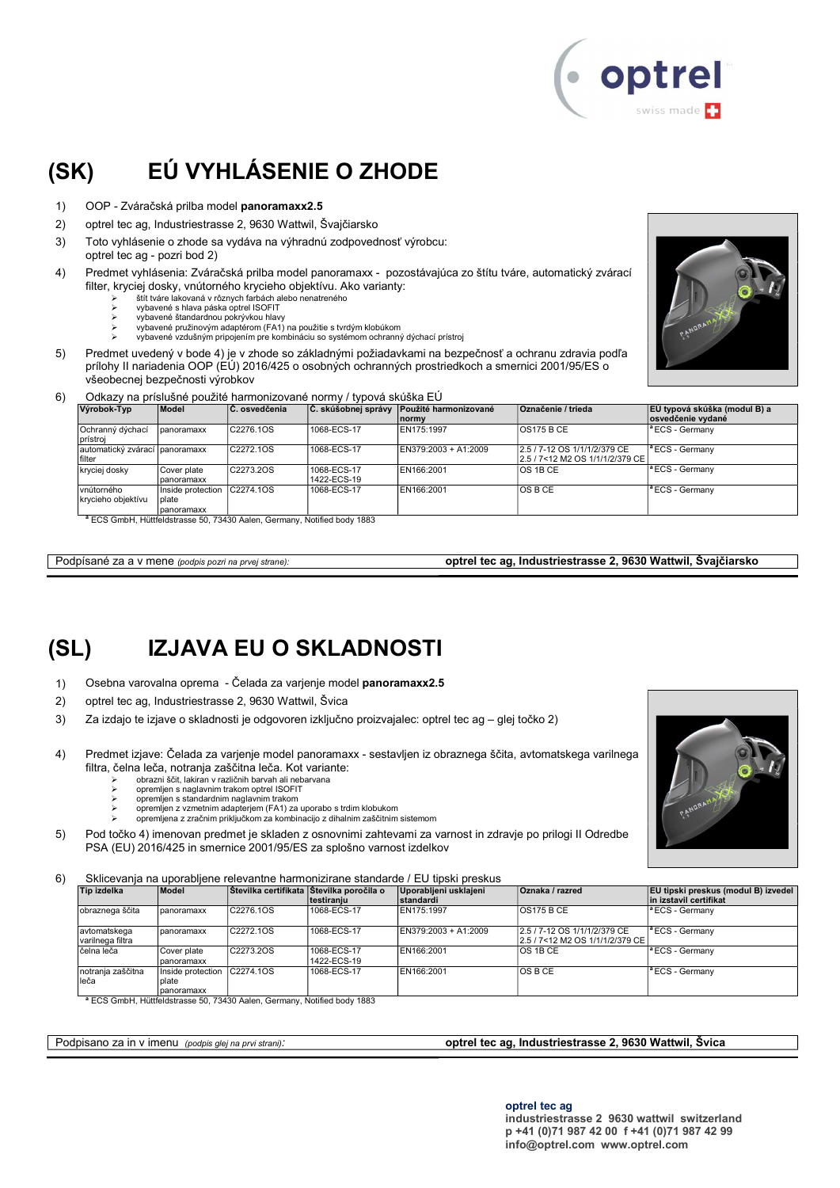

# (SK) EÚ VYHLÁSENIE O ZHODE

- 1) OOP Zváračská prilba model panoramaxx2.5
- 2) optrel tec ag, Industriestrasse 2, 9630 Wattwil, Švajčiarsko
- 3) Toto vyhlásenie o zhode sa vydáva na výhradnú zodpovednosť výrobcu:
- optrel tec ag pozri bod 2)
- 4) Predmet vyhlásenia: Zváračská prilba model panoramaxx pozostávajúca zo štítu tváre, automatický zvárací filter, kryciej dosky, vnútorného krycieho objektívu. Ako varianty:
	- štít tváre lakovaná v rôznych farbách alebo nenatreného
	- vybavené s hlava páska optrel ISOFIT vybavené štandardnou pokrývkou hlavy
	- vybavené pružinovým adaptérom (FA1) na použitie s tvrdým klobúkom
	- vybavené vzdušným pripojením pre kombináciu so systémom ochranný dýchací prístroj
- 5) Predmet uvedený v bode 4) je v zhode so základnými požiadavkami na bezpečnosť a ochranu zdravia podľa prílohy II nariadenia OOP (EÚ) 2016/425 o osobných ochranných prostriedkoch a smernici 2001/95/ES o všeobecnej bezpečnosti výrobkov



#### 6) Odkazy na príslušné použité harmonizované normy / typová skúška EÚ

| Výrobok-Typ                              | <b>Model</b>                             | ∣C. osvedčenia          | Č. skúšobnej správy        | Použité harmonizované<br>Inormy | <b>Označenie / trieda</b>                                       | EÚ typová skúška (modul B) a<br>osvedčenie vydané |
|------------------------------------------|------------------------------------------|-------------------------|----------------------------|---------------------------------|-----------------------------------------------------------------|---------------------------------------------------|
| Ochranný dýchací<br>prístroi             | panoramaxx                               | C2276.1OS               | 1068-ECS-17                | EN175:1997                      | <b>OS175 B CE</b>                                               | <sup>a</sup> ECS - Germany                        |
| automatický zvárací panoramaxx<br>filter |                                          | C2272.1OS               | 1068-ECS-17                | EN379:2003 + A1:2009            | 2.5 / 7-12 OS 1/1/1/2/379 CE<br>2.5 / 7<12 M2 OS 1/1/1/2/379 CE | <sup>a</sup> ECS - Germany                        |
| kryciej dosky                            | Cover plate<br>panoramaxx                | C2273.2OS               | 1068-ECS-17<br>1422-ECS-19 | EN166:2001                      | <b>OS 1B CE</b>                                                 | <sup>a</sup> ECS - Germany                        |
| vnútorného<br>krycieho objektívu         | Inside protection<br>plate<br>panoramaxx | C2274.10S               | 1068-ECS-17                | EN166:2001                      | <b>OSBCE</b>                                                    | <sup>a</sup> ECS - Germany                        |
|                                          |                                          | $3 - 0.00$ $111$ $1111$ |                            |                                 |                                                                 |                                                   |

<sup>a</sup> ECS GmbH, Hüttfeldstrasse 50, 73430 Aalen, Germany, Notified body 1883

Podpísané za a v mene (podpis pozri na prvej strane): **optrel tec ag, Industriestrasse 2, 9630 Wattwil, Švajčiarsko** 

# (SL) IZJAVA EU O SKLADNOSTI

- 1) Osebna varovalna oprema Čelada za varjenje model panoramaxx2.5
- 2) optrel tec ag, Industriestrasse 2, 9630 Wattwil, Švica
- 3) Za izdajo te izjave o skladnosti je odgovoren izključno proizvajalec: optrel tec ag glej točko 2)
- 4) Predmet izjave: Čelada za varjenje model panoramaxx sestavljen iz obraznega ščita, avtomatskega varilnega filtra, čelna leča, notranja zaščitna leča. Kot variante:
	- obrazni ščit, lakiran v različnih barvah ali nebarvana
	- $\geq$  opremljen s naglavnim trakom optrel ISOFIT<br> $\geq$  opremljen s standardnim naglavnim trakom
	- opremljen s standardnim naglavnim trakom opremljen z vzmetnim adapterjem (FA1) za uporabo s trdim klobukom
	- opremljena z zračnim priključkom za kombinacijo z dihalnim zaščitnim sistemom
- 5) Pod točko 4) imenovan predmet je skladen z osnovnimi zahtevami za varnost in zdravje po prilogi II Odredbe PSA (EU) 2016/425 in smernice 2001/95/ES za splošno varnost izdelkov

6) Sklicevanja na uporabljene relevantne harmonizirane standarde / EU tipski preskus

| Tip izdelka                      | Model                                              | Stevilka certifikata Sttevilka poročila o | Itestiraniu                | Uporabljeni usklajeni<br><b>standardi</b> | Oznaka / razred                                                    | EU tipski preskus (modul B) izvedel<br>in izstavil certifikat |
|----------------------------------|----------------------------------------------------|-------------------------------------------|----------------------------|-------------------------------------------|--------------------------------------------------------------------|---------------------------------------------------------------|
| obraznega ščita                  | panoramaxx                                         | C2276.10S                                 | 1068-ECS-17                | EN175:1997                                | <b>OS175 B CE</b>                                                  | $\vert$ <sup>a</sup> ECS - Germany                            |
| avtomatskega<br>varilnega filtra | panoramaxx                                         | C2272.1OS                                 | 1068-ECS-17                | EN379:2003 + A1:2009                      | 2.5 / 7-12 OS 1/1/1/2/379 CE<br>l2.5 / 7<12 M2 OS 1/1/1/2/379 CE l | <sup>1ª</sup> ECS - Germany                                   |
| čelna leča                       | Cover plate<br>panoramaxx                          | C2273.2OS                                 | 1068-ECS-17<br>1422-ECS-19 | EN166:2001                                | IOS 1B CE                                                          | <sup>a</sup> ECS - Germany                                    |
| notranja zaščitna<br>lleča       | Inside protection C2274.10S<br>plate<br>panoramaxx |                                           | 1068-ECS-17                | EN166:2001                                | <b>OSBCE</b>                                                       | <sup>a</sup> ECS - Germany                                    |

ECS GmbH, Hüttfeldstrasse 50, 73430 Aalen, Germany, Notified body 1883

#### Podpisano za in v imenu (podpis glej na prvi strani): optrel tec ag, Industriestrasse 2, 9630 Wattwil, Švica

optrel tec ag